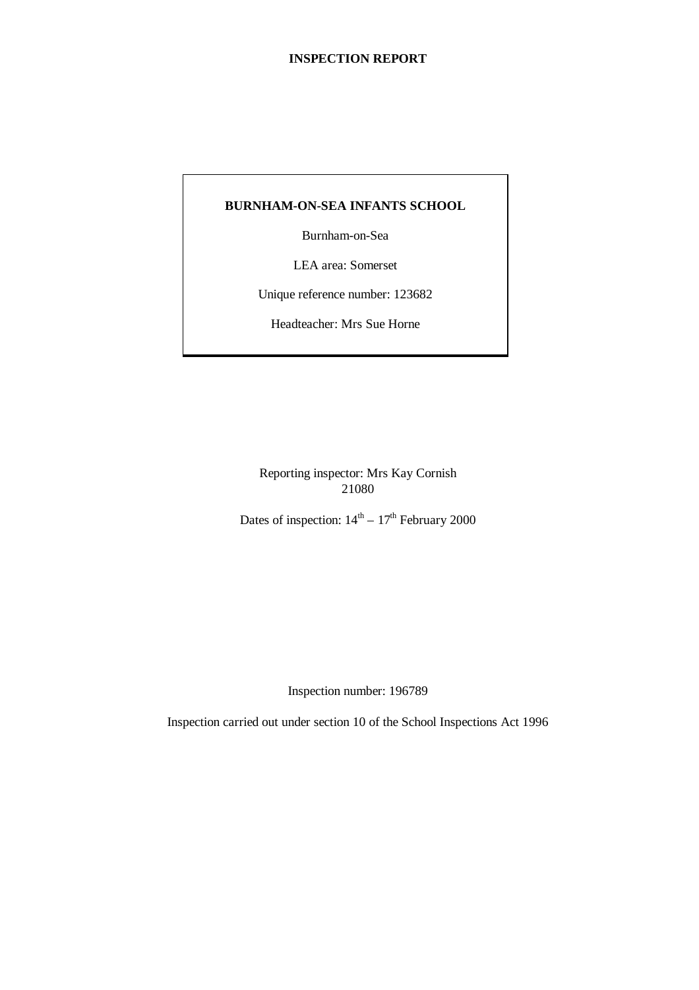## **BURNHAM-ON-SEA INFANTS SCHOOL**

Burnham-on-Sea

LEA area: Somerset

Unique reference number: 123682

Headteacher: Mrs Sue Horne

Reporting inspector: Mrs Kay Cornish 21080

Dates of inspection:  $14<sup>th</sup> - 17<sup>th</sup>$  February 2000

Inspection number: 196789

Inspection carried out under section 10 of the School Inspections Act 1996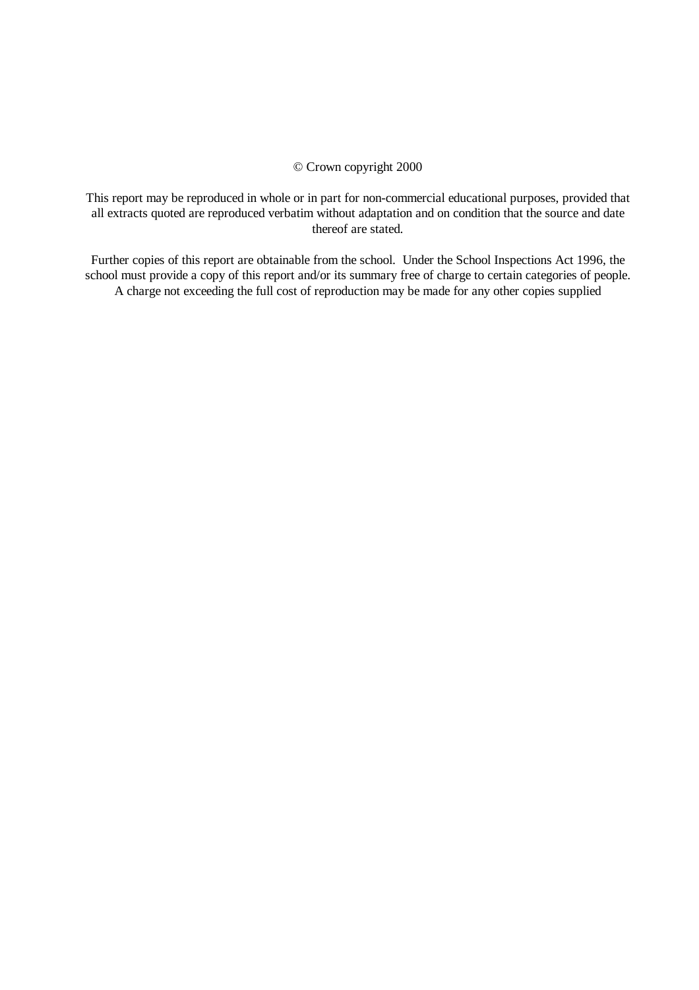## © Crown copyright 2000

This report may be reproduced in whole or in part for non-commercial educational purposes, provided that all extracts quoted are reproduced verbatim without adaptation and on condition that the source and date thereof are stated.

Further copies of this report are obtainable from the school. Under the School Inspections Act 1996, the school must provide a copy of this report and/or its summary free of charge to certain categories of people. A charge not exceeding the full cost of reproduction may be made for any other copies supplied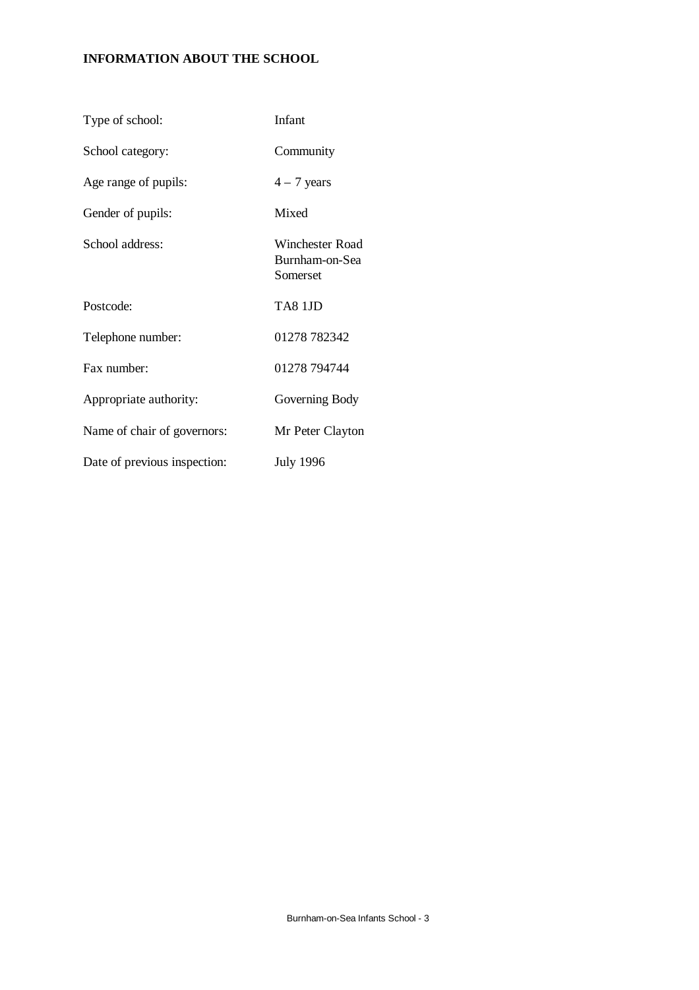# **INFORMATION ABOUT THE SCHOOL**

| Type of school:              | Infant                                        |
|------------------------------|-----------------------------------------------|
| School category:             | Community                                     |
| Age range of pupils:         | $4 - 7$ years                                 |
| Gender of pupils:            | Mixed                                         |
| School address:              | Winchester Road<br>Burnham-on-Sea<br>Somerset |
| Postcode:                    | TA8 1JD                                       |
| Telephone number:            | 01278 782342                                  |
| Fax number:                  | 01278 794744                                  |
| Appropriate authority:       | Governing Body                                |
| Name of chair of governors:  | Mr Peter Clayton                              |
| Date of previous inspection: | <b>July 1996</b>                              |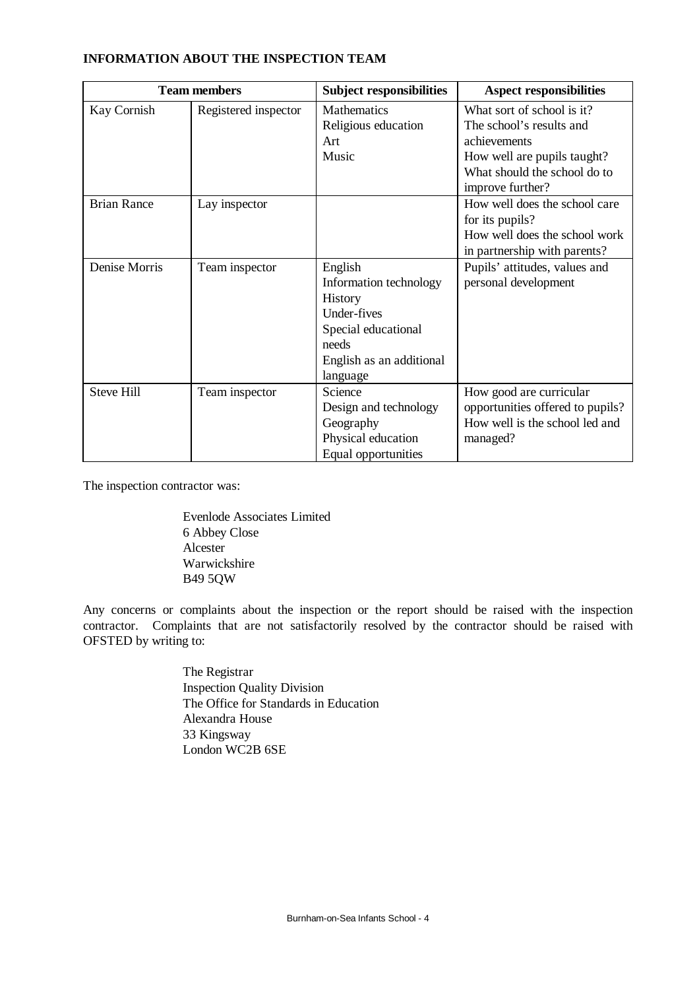| <b>Team members</b> |                      | <b>Subject responsibilities</b>                                                                                                     | <b>Aspect responsibilities</b>                                                                                                                            |  |  |
|---------------------|----------------------|-------------------------------------------------------------------------------------------------------------------------------------|-----------------------------------------------------------------------------------------------------------------------------------------------------------|--|--|
| Kay Cornish         | Registered inspector | Mathematics<br>Religious education<br>Art<br>Music                                                                                  | What sort of school is it?<br>The school's results and<br>achievements<br>How well are pupils taught?<br>What should the school do to<br>improve further? |  |  |
| <b>Brian Rance</b>  | Lay inspector        |                                                                                                                                     | How well does the school care<br>for its pupils?<br>How well does the school work<br>in partnership with parents?                                         |  |  |
| Denise Morris       | Team inspector       | English<br>Information technology<br>History<br>Under-fives<br>Special educational<br>needs<br>English as an additional<br>language | Pupils' attitudes, values and<br>personal development                                                                                                     |  |  |
| <b>Steve Hill</b>   | Team inspector       | Science<br>Design and technology<br>Geography<br>Physical education<br>Equal opportunities                                          | How good are curricular<br>opportunities offered to pupils?<br>How well is the school led and<br>managed?                                                 |  |  |

## **INFORMATION ABOUT THE INSPECTION TEAM**

The inspection contractor was:

Evenlode Associates Limited 6 Abbey Close Alcester Warwickshire B49 5QW

Any concerns or complaints about the inspection or the report should be raised with the inspection contractor. Complaints that are not satisfactorily resolved by the contractor should be raised with OFSTED by writing to:

> The Registrar Inspection Quality Division The Office for Standards in Education Alexandra House 33 Kingsway London WC2B 6SE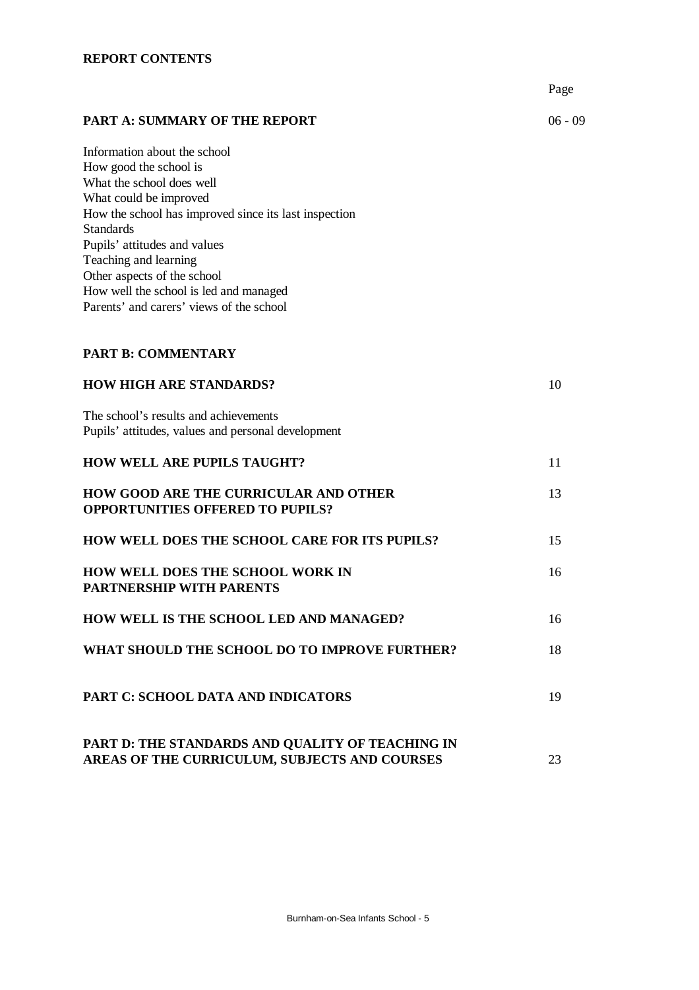|                                                                                                                                                                                                                                                                                                                                                                          | Page      |
|--------------------------------------------------------------------------------------------------------------------------------------------------------------------------------------------------------------------------------------------------------------------------------------------------------------------------------------------------------------------------|-----------|
| <b>PART A: SUMMARY OF THE REPORT</b>                                                                                                                                                                                                                                                                                                                                     | $06 - 09$ |
| Information about the school<br>How good the school is<br>What the school does well<br>What could be improved<br>How the school has improved since its last inspection<br><b>Standards</b><br>Pupils' attitudes and values<br>Teaching and learning<br>Other aspects of the school<br>How well the school is led and managed<br>Parents' and carers' views of the school |           |
| <b>PART B: COMMENTARY</b>                                                                                                                                                                                                                                                                                                                                                |           |
| <b>HOW HIGH ARE STANDARDS?</b>                                                                                                                                                                                                                                                                                                                                           | 10        |
| The school's results and achievements<br>Pupils' attitudes, values and personal development                                                                                                                                                                                                                                                                              |           |
| <b>HOW WELL ARE PUPILS TAUGHT?</b>                                                                                                                                                                                                                                                                                                                                       | 11        |
| <b>HOW GOOD ARE THE CURRICULAR AND OTHER</b><br><b>OPPORTUNITIES OFFERED TO PUPILS?</b>                                                                                                                                                                                                                                                                                  | 13        |
| <b>HOW WELL DOES THE SCHOOL CARE FOR ITS PUPILS?</b>                                                                                                                                                                                                                                                                                                                     | 15        |
| <b>HOW WELL DOES THE SCHOOL WORK IN</b><br><b>PARTNERSHIP WITH PARENTS</b>                                                                                                                                                                                                                                                                                               | 16        |
| HOW WELL IS THE SCHOOL LED AND MANAGED?                                                                                                                                                                                                                                                                                                                                  | 16        |
| WHAT SHOULD THE SCHOOL DO TO IMPROVE FURTHER?                                                                                                                                                                                                                                                                                                                            | 18        |
| PART C: SCHOOL DATA AND INDICATORS                                                                                                                                                                                                                                                                                                                                       | 19        |
| PART D: THE STANDARDS AND QUALITY OF TEACHING IN<br>AREAS OF THE CURRICULUM, SUBJECTS AND COURSES                                                                                                                                                                                                                                                                        | 23        |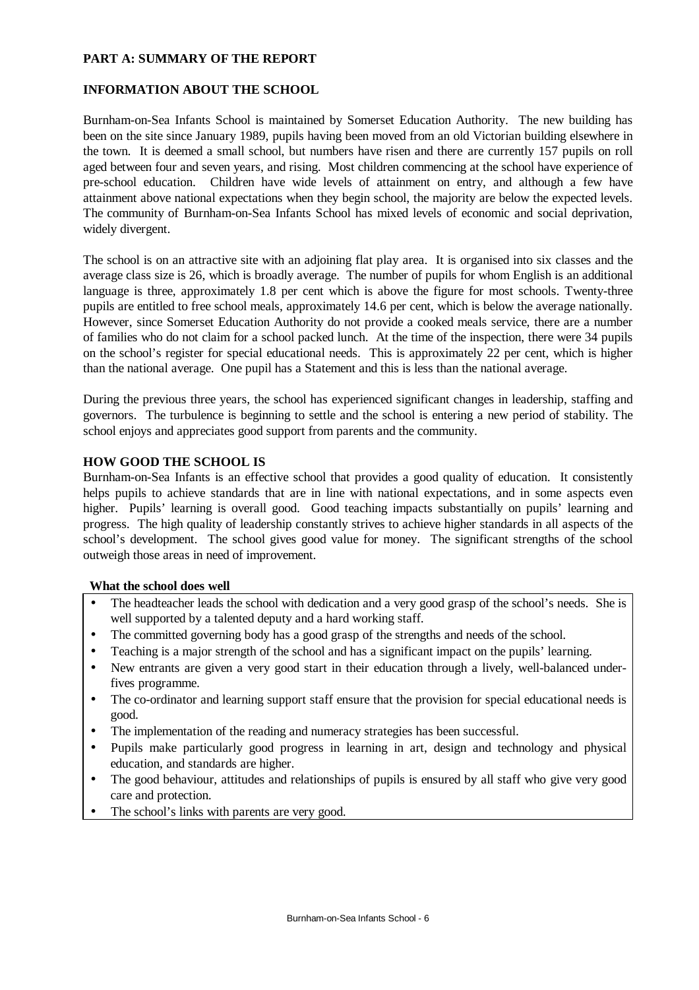## **PART A: SUMMARY OF THE REPORT**

## **INFORMATION ABOUT THE SCHOOL**

Burnham-on-Sea Infants School is maintained by Somerset Education Authority. The new building has been on the site since January 1989, pupils having been moved from an old Victorian building elsewhere in the town. It is deemed a small school, but numbers have risen and there are currently 157 pupils on roll aged between four and seven years, and rising. Most children commencing at the school have experience of pre-school education. Children have wide levels of attainment on entry, and although a few have attainment above national expectations when they begin school, the majority are below the expected levels. The community of Burnham-on-Sea Infants School has mixed levels of economic and social deprivation, widely divergent.

The school is on an attractive site with an adjoining flat play area. It is organised into six classes and the average class size is 26, which is broadly average. The number of pupils for whom English is an additional language is three, approximately 1.8 per cent which is above the figure for most schools. Twenty-three pupils are entitled to free school meals, approximately 14.6 per cent, which is below the average nationally. However, since Somerset Education Authority do not provide a cooked meals service, there are a number of families who do not claim for a school packed lunch. At the time of the inspection, there were 34 pupils on the school's register for special educational needs. This is approximately 22 per cent, which is higher than the national average. One pupil has a Statement and this is less than the national average.

During the previous three years, the school has experienced significant changes in leadership, staffing and governors. The turbulence is beginning to settle and the school is entering a new period of stability. The school enjoys and appreciates good support from parents and the community.

### **HOW GOOD THE SCHOOL IS**

Burnham-on-Sea Infants is an effective school that provides a good quality of education. It consistently helps pupils to achieve standards that are in line with national expectations, and in some aspects even higher. Pupils' learning is overall good. Good teaching impacts substantially on pupils' learning and progress. The high quality of leadership constantly strives to achieve higher standards in all aspects of the school's development. The school gives good value for money. The significant strengths of the school outweigh those areas in need of improvement.

### **What the school does well**

- The headteacher leads the school with dedication and a very good grasp of the school's needs. She is well supported by a talented deputy and a hard working staff.
- The committed governing body has a good grasp of the strengths and needs of the school.
- Teaching is a major strength of the school and has a significant impact on the pupils' learning.
- New entrants are given a very good start in their education through a lively, well-balanced underfives programme.
- The co-ordinator and learning support staff ensure that the provision for special educational needs is good.
- The implementation of the reading and numeracy strategies has been successful.
- Pupils make particularly good progress in learning in art, design and technology and physical education, and standards are higher.
- The good behaviour, attitudes and relationships of pupils is ensured by all staff who give very good care and protection.
- The school's links with parents are very good.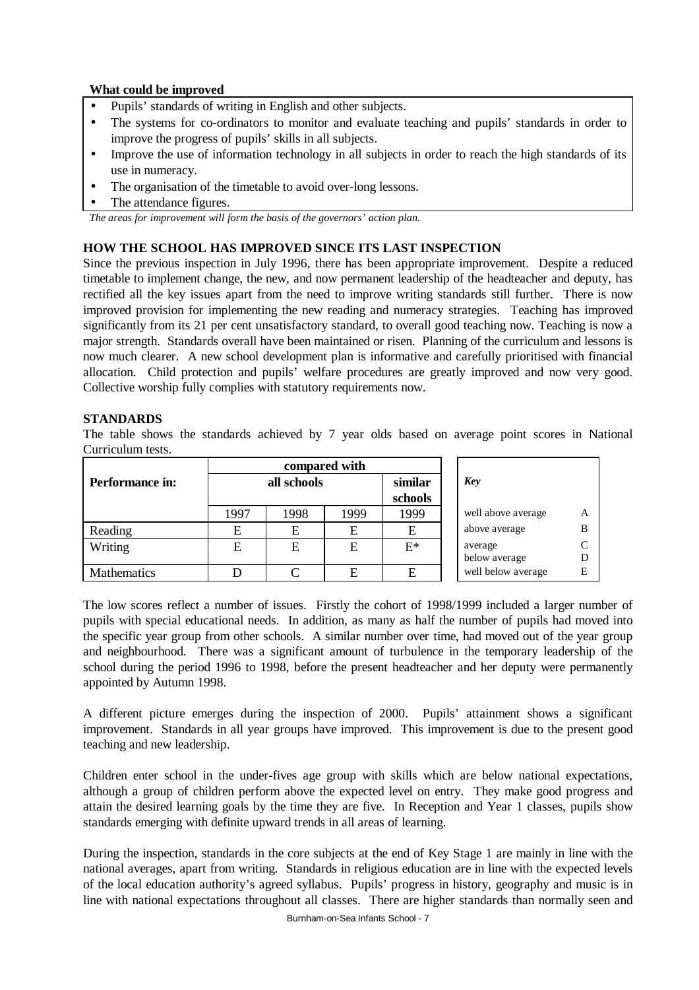## **What could be improved**

- Pupils' standards of writing in English and other subjects.
- The systems for co-ordinators to monitor and evaluate teaching and pupils' standards in order to improve the progress of pupils' skills in all subjects.
- Improve the use of information technology in all subjects in order to reach the high standards of its use in numeracy.
- The organisation of the timetable to avoid over-long lessons.
- The attendance figures.

*The areas for improvement will form the basis of the governors' action plan.*

# **HOW THE SCHOOL HAS IMPROVED SINCE ITS LAST INSPECTION**

Since the previous inspection in July 1996, there has been appropriate improvement. Despite a reduced timetable to implement change, the new, and now permanent leadership of the headteacher and deputy, has rectified all the key issues apart from the need to improve writing standards still further. There is now improved provision for implementing the new reading and numeracy strategies. Teaching has improved significantly from its 21 per cent unsatisfactory standard, to overall good teaching now. Teaching is now a major strength. Standards overall have been maintained or risen. Planning of the curriculum and lessons is now much clearer. A new school development plan is informative and carefully prioritised with financial allocation. Child protection and pupils' welfare procedures are greatly improved and now very good. Collective worship fully complies with statutory requirements now.

## **STANDARDS**

The table shows the standards achieved by 7 year olds based on average point scores in National Curriculum tests.

|                    | compared with |      |      |         |                    |   |  |
|--------------------|---------------|------|------|---------|--------------------|---|--|
| Performance in:    | all schools   |      |      | similar | Key                |   |  |
|                    |               |      |      | schools |                    |   |  |
|                    | 1997          | 1998 | 1999 | 1999    | well above average | A |  |
| Reading            | E             | E    | E    | Е       | above average      | B |  |
| Writing            | E             | E    | E    | $E^*$   | average            |   |  |
|                    |               |      |      |         | below average      |   |  |
| <b>Mathematics</b> |               |      |      | E       | well below average |   |  |

The low scores reflect a number of issues. Firstly the cohort of 1998/1999 included a larger number of pupils with special educational needs. In addition, as many as half the number of pupils had moved into the specific year group from other schools. A similar number over time, had moved out of the year group and neighbourhood. There was a significant amount of turbulence in the temporary leadership of the school during the period 1996 to 1998, before the present headteacher and her deputy were permanently appointed by Autumn 1998.

A different picture emerges during the inspection of 2000. Pupils' attainment shows a significant improvement. Standards in all year groups have improved. This improvement is due to the present good teaching and new leadership.

Children enter school in the under-fives age group with skills which are below national expectations, although a group of children perform above the expected level on entry. They make good progress and attain the desired learning goals by the time they are five. In Reception and Year 1 classes, pupils show standards emerging with definite upward trends in all areas of learning.

During the inspection, standards in the core subjects at the end of Key Stage 1 are mainly in line with the national averages, apart from writing. Standards in religious education are in line with the expected levels of the local education authority's agreed syllabus. Pupils' progress in history, geography and music is in line with national expectations throughout all classes. There are higher standards than normally seen and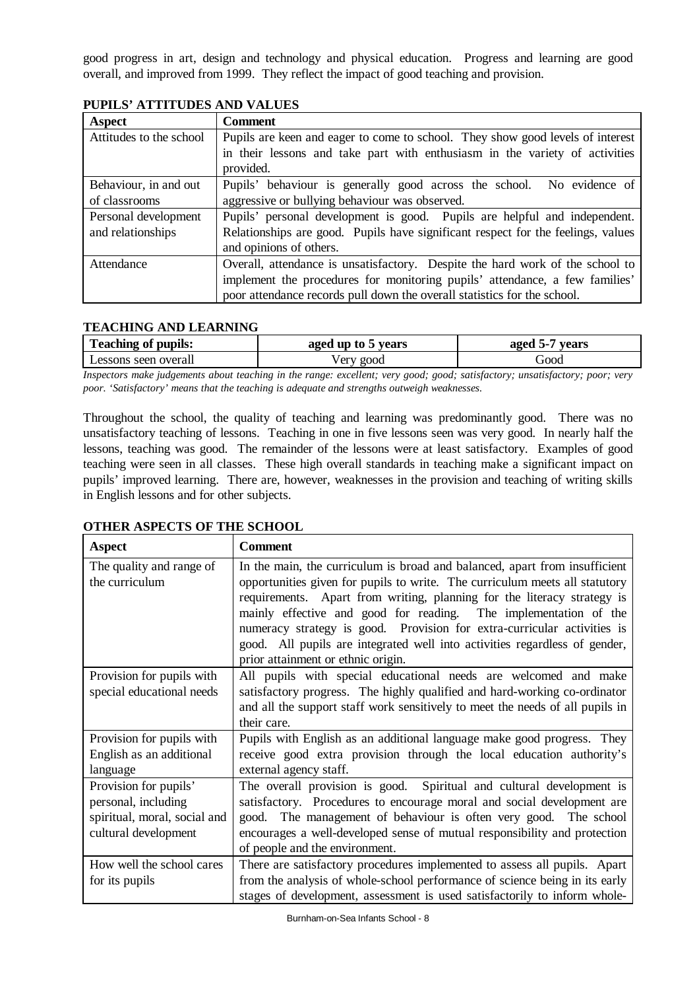good progress in art, design and technology and physical education. Progress and learning are good overall, and improved from 1999. They reflect the impact of good teaching and provision.

| Aspect                  | <b>Comment</b>                                                                   |  |  |  |  |  |  |
|-------------------------|----------------------------------------------------------------------------------|--|--|--|--|--|--|
| Attitudes to the school | Pupils are keen and eager to come to school. They show good levels of interest   |  |  |  |  |  |  |
|                         | in their lessons and take part with enthusiasm in the variety of activities      |  |  |  |  |  |  |
|                         | provided.                                                                        |  |  |  |  |  |  |
| Behaviour, in and out   | Pupils' behaviour is generally good across the school. No evidence of            |  |  |  |  |  |  |
| of classrooms           | aggressive or bullying behaviour was observed.                                   |  |  |  |  |  |  |
| Personal development    | Pupils' personal development is good. Pupils are helpful and independent.        |  |  |  |  |  |  |
| and relationships       | Relationships are good. Pupils have significant respect for the feelings, values |  |  |  |  |  |  |
|                         | and opinions of others.                                                          |  |  |  |  |  |  |
| Attendance              | Overall, attendance is unsatisfactory. Despite the hard work of the school to    |  |  |  |  |  |  |
|                         | implement the procedures for monitoring pupils' attendance, a few families'      |  |  |  |  |  |  |
|                         | poor attendance records pull down the overall statistics for the school.         |  |  |  |  |  |  |

**PUPILS' ATTITUDES AND VALUES**

## **TEACHING AND LEARNING**

| <b>Teaching of pupils:</b> | aged up to 5 years | vears<br>aged<br>55 |  |  |
|----------------------------|--------------------|---------------------|--|--|
| Lessons seen overall       | good<br>√ery       | boot <sup>'</sup>   |  |  |

*Inspectors make judgements about teaching in the range: excellent; very good; good; satisfactory; unsatisfactory; poor; very poor. 'Satisfactory' means that the teaching is adequate and strengths outweigh weaknesses.*

Throughout the school, the quality of teaching and learning was predominantly good. There was no unsatisfactory teaching of lessons. Teaching in one in five lessons seen was very good. In nearly half the lessons, teaching was good. The remainder of the lessons were at least satisfactory. Examples of good teaching were seen in all classes. These high overall standards in teaching make a significant impact on pupils' improved learning. There are, however, weaknesses in the provision and teaching of writing skills in English lessons and for other subjects.

| <b>Aspect</b>                                                                                        | <b>Comment</b>                                                                                                                                                                                                                                                                                                                                                                                                                                                                                          |
|------------------------------------------------------------------------------------------------------|---------------------------------------------------------------------------------------------------------------------------------------------------------------------------------------------------------------------------------------------------------------------------------------------------------------------------------------------------------------------------------------------------------------------------------------------------------------------------------------------------------|
| The quality and range of<br>the curriculum                                                           | In the main, the curriculum is broad and balanced, apart from insufficient<br>opportunities given for pupils to write. The curriculum meets all statutory<br>requirements. Apart from writing, planning for the literacy strategy is<br>mainly effective and good for reading. The implementation of the<br>numeracy strategy is good. Provision for extra-curricular activities is<br>good. All pupils are integrated well into activities regardless of gender,<br>prior attainment or ethnic origin. |
| Provision for pupils with<br>special educational needs                                               | All pupils with special educational needs are welcomed and make<br>satisfactory progress. The highly qualified and hard-working co-ordinator<br>and all the support staff work sensitively to meet the needs of all pupils in<br>their care.                                                                                                                                                                                                                                                            |
| Provision for pupils with<br>English as an additional<br>language                                    | Pupils with English as an additional language make good progress. They<br>receive good extra provision through the local education authority's<br>external agency staff.                                                                                                                                                                                                                                                                                                                                |
| Provision for pupils'<br>personal, including<br>spiritual, moral, social and<br>cultural development | The overall provision is good. Spiritual and cultural development is<br>satisfactory. Procedures to encourage moral and social development are<br>good. The management of behaviour is often very good. The school<br>encourages a well-developed sense of mutual responsibility and protection<br>of people and the environment.                                                                                                                                                                       |
| How well the school cares<br>for its pupils                                                          | There are satisfactory procedures implemented to assess all pupils. Apart<br>from the analysis of whole-school performance of science being in its early<br>stages of development, assessment is used satisfactorily to inform whole-                                                                                                                                                                                                                                                                   |

## **OTHER ASPECTS OF THE SCHOOL**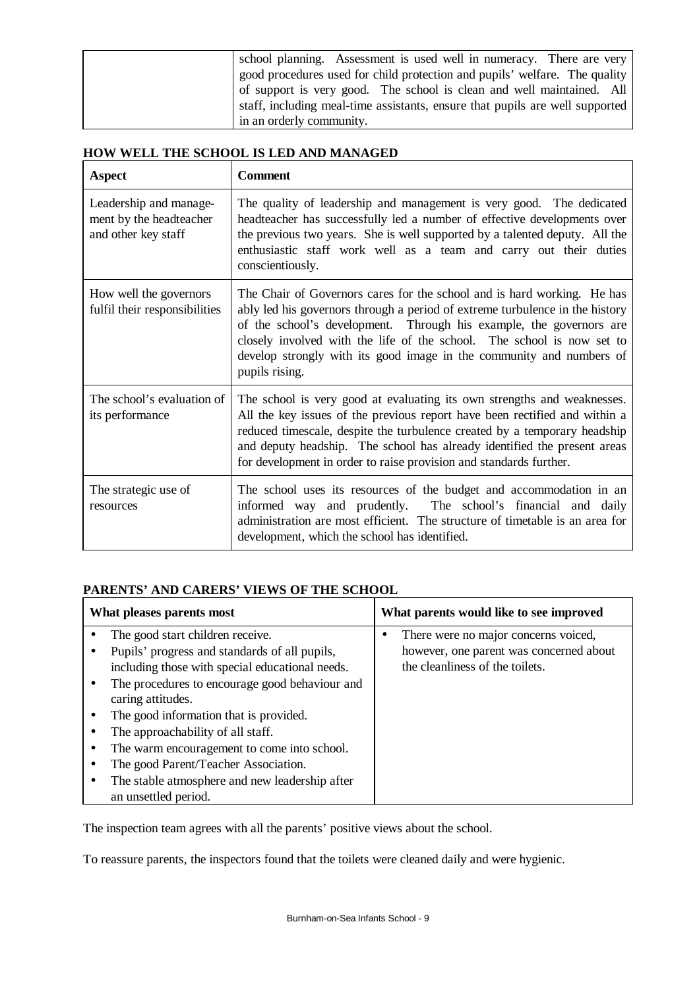|  | school planning. Assessment is used well in numeracy. There are very<br>good procedures used for child protection and pupils' welfare. The quality |
|--|----------------------------------------------------------------------------------------------------------------------------------------------------|
|  | of support is very good. The school is clean and well maintained. All                                                                              |
|  | staff, including meal-time assistants, ensure that pupils are well supported                                                                       |
|  | in an orderly community.                                                                                                                           |

## **HOW WELL THE SCHOOL IS LED AND MANAGED**

| <b>Aspect</b>                                                            | <b>Comment</b>                                                                                                                                                                                                                                                                                                                                                                                     |
|--------------------------------------------------------------------------|----------------------------------------------------------------------------------------------------------------------------------------------------------------------------------------------------------------------------------------------------------------------------------------------------------------------------------------------------------------------------------------------------|
| Leadership and manage-<br>ment by the headteacher<br>and other key staff | The quality of leadership and management is very good. The dedicated<br>headteacher has successfully led a number of effective developments over<br>the previous two years. She is well supported by a talented deputy. All the<br>enthusiastic staff work well as a team and carry out their duties<br>conscientiously.                                                                           |
| How well the governors<br>fulfil their responsibilities                  | The Chair of Governors cares for the school and is hard working. He has<br>ably led his governors through a period of extreme turbulence in the history<br>of the school's development. Through his example, the governors are<br>closely involved with the life of the school. The school is now set to<br>develop strongly with its good image in the community and numbers of<br>pupils rising. |
| The school's evaluation of<br>its performance                            | The school is very good at evaluating its own strengths and weaknesses.<br>All the key issues of the previous report have been rectified and within a<br>reduced timescale, despite the turbulence created by a temporary headship<br>and deputy headship. The school has already identified the present areas<br>for development in order to raise provision and standards further.               |
| The strategic use of<br>resources                                        | The school uses its resources of the budget and accommodation in an<br>informed way and prudently. The school's financial and daily<br>administration are most efficient. The structure of timetable is an area for<br>development, which the school has identified.                                                                                                                               |

# **PARENTS' AND CARERS' VIEWS OF THE SCHOOL**

| What pleases parents most |                                                                                                                        | What parents would like to see improved                                         |  |  |  |
|---------------------------|------------------------------------------------------------------------------------------------------------------------|---------------------------------------------------------------------------------|--|--|--|
|                           | The good start children receive.<br>Pupils' progress and standards of all pupils,                                      | There were no major concerns voiced,<br>however, one parent was concerned about |  |  |  |
|                           | including those with special educational needs.<br>The procedures to encourage good behaviour and<br>caring attitudes. | the cleanliness of the toilets.                                                 |  |  |  |
|                           | The good information that is provided.                                                                                 |                                                                                 |  |  |  |
|                           | The approachability of all staff.                                                                                      |                                                                                 |  |  |  |
|                           | The warm encouragement to come into school.                                                                            |                                                                                 |  |  |  |
|                           | The good Parent/Teacher Association.                                                                                   |                                                                                 |  |  |  |
|                           | The stable atmosphere and new leadership after<br>an unsettled period.                                                 |                                                                                 |  |  |  |

The inspection team agrees with all the parents' positive views about the school.

To reassure parents, the inspectors found that the toilets were cleaned daily and were hygienic.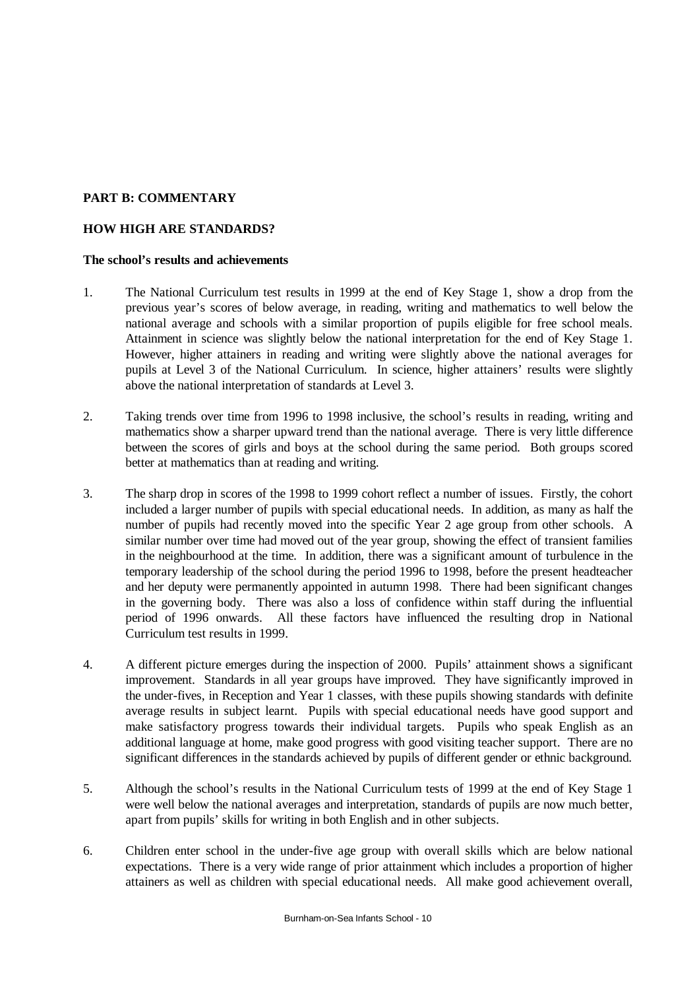## **PART B: COMMENTARY**

## **HOW HIGH ARE STANDARDS?**

#### **The school's results and achievements**

- 1. The National Curriculum test results in 1999 at the end of Key Stage 1, show a drop from the previous year's scores of below average, in reading, writing and mathematics to well below the national average and schools with a similar proportion of pupils eligible for free school meals. Attainment in science was slightly below the national interpretation for the end of Key Stage 1. However, higher attainers in reading and writing were slightly above the national averages for pupils at Level 3 of the National Curriculum. In science, higher attainers' results were slightly above the national interpretation of standards at Level 3.
- 2. Taking trends over time from 1996 to 1998 inclusive, the school's results in reading, writing and mathematics show a sharper upward trend than the national average. There is very little difference between the scores of girls and boys at the school during the same period. Both groups scored better at mathematics than at reading and writing.
- 3. The sharp drop in scores of the 1998 to 1999 cohort reflect a number of issues. Firstly, the cohort included a larger number of pupils with special educational needs. In addition, as many as half the number of pupils had recently moved into the specific Year 2 age group from other schools. A similar number over time had moved out of the year group, showing the effect of transient families in the neighbourhood at the time. In addition, there was a significant amount of turbulence in the temporary leadership of the school during the period 1996 to 1998, before the present headteacher and her deputy were permanently appointed in autumn 1998. There had been significant changes in the governing body. There was also a loss of confidence within staff during the influential period of 1996 onwards. All these factors have influenced the resulting drop in National Curriculum test results in 1999.
- 4. A different picture emerges during the inspection of 2000. Pupils' attainment shows a significant improvement. Standards in all year groups have improved. They have significantly improved in the under-fives, in Reception and Year 1 classes, with these pupils showing standards with definite average results in subject learnt. Pupils with special educational needs have good support and make satisfactory progress towards their individual targets. Pupils who speak English as an additional language at home, make good progress with good visiting teacher support. There are no significant differences in the standards achieved by pupils of different gender or ethnic background.
- 5. Although the school's results in the National Curriculum tests of 1999 at the end of Key Stage 1 were well below the national averages and interpretation, standards of pupils are now much better, apart from pupils' skills for writing in both English and in other subjects.
- 6. Children enter school in the under-five age group with overall skills which are below national expectations. There is a very wide range of prior attainment which includes a proportion of higher attainers as well as children with special educational needs. All make good achievement overall,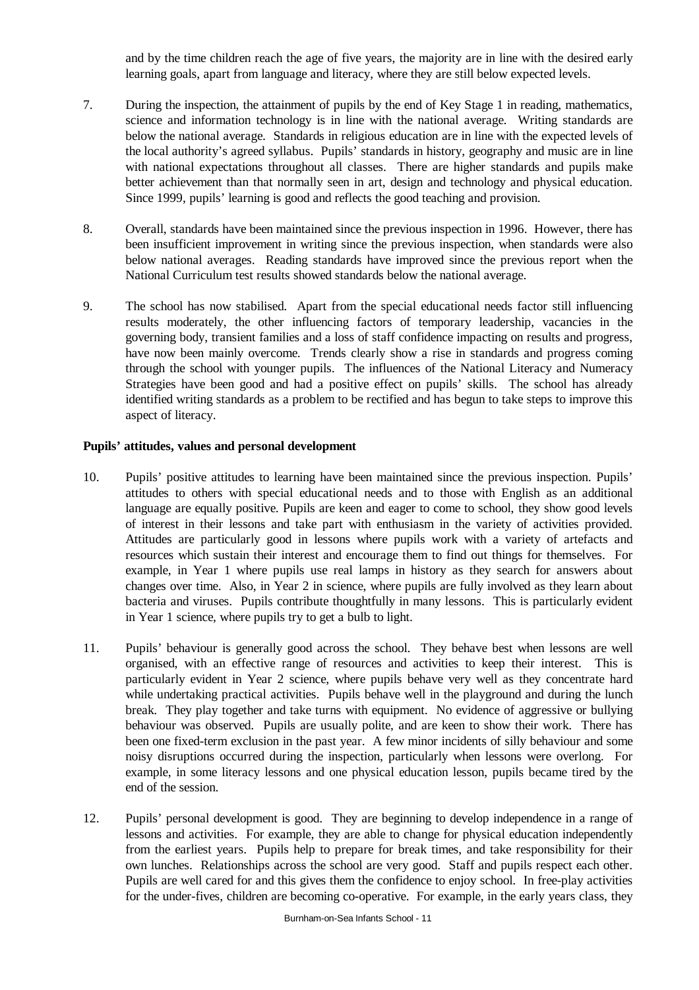and by the time children reach the age of five years, the majority are in line with the desired early learning goals, apart from language and literacy, where they are still below expected levels.

- 7. During the inspection, the attainment of pupils by the end of Key Stage 1 in reading, mathematics, science and information technology is in line with the national average. Writing standards are below the national average. Standards in religious education are in line with the expected levels of the local authority's agreed syllabus. Pupils' standards in history, geography and music are in line with national expectations throughout all classes. There are higher standards and pupils make better achievement than that normally seen in art, design and technology and physical education. Since 1999, pupils' learning is good and reflects the good teaching and provision.
- 8. Overall, standards have been maintained since the previous inspection in 1996. However, there has been insufficient improvement in writing since the previous inspection, when standards were also below national averages. Reading standards have improved since the previous report when the National Curriculum test results showed standards below the national average.
- 9. The school has now stabilised. Apart from the special educational needs factor still influencing results moderately, the other influencing factors of temporary leadership, vacancies in the governing body, transient families and a loss of staff confidence impacting on results and progress, have now been mainly overcome. Trends clearly show a rise in standards and progress coming through the school with younger pupils. The influences of the National Literacy and Numeracy Strategies have been good and had a positive effect on pupils' skills. The school has already identified writing standards as a problem to be rectified and has begun to take steps to improve this aspect of literacy.

### **Pupils' attitudes, values and personal development**

- 10. Pupils' positive attitudes to learning have been maintained since the previous inspection. Pupils' attitudes to others with special educational needs and to those with English as an additional language are equally positive. Pupils are keen and eager to come to school, they show good levels of interest in their lessons and take part with enthusiasm in the variety of activities provided. Attitudes are particularly good in lessons where pupils work with a variety of artefacts and resources which sustain their interest and encourage them to find out things for themselves. For example, in Year 1 where pupils use real lamps in history as they search for answers about changes over time. Also, in Year 2 in science, where pupils are fully involved as they learn about bacteria and viruses. Pupils contribute thoughtfully in many lessons. This is particularly evident in Year 1 science, where pupils try to get a bulb to light.
- 11. Pupils' behaviour is generally good across the school. They behave best when lessons are well organised, with an effective range of resources and activities to keep their interest. This is particularly evident in Year 2 science, where pupils behave very well as they concentrate hard while undertaking practical activities. Pupils behave well in the playground and during the lunch break. They play together and take turns with equipment. No evidence of aggressive or bullying behaviour was observed. Pupils are usually polite, and are keen to show their work. There has been one fixed-term exclusion in the past year. A few minor incidents of silly behaviour and some noisy disruptions occurred during the inspection, particularly when lessons were overlong. For example, in some literacy lessons and one physical education lesson, pupils became tired by the end of the session.
- 12. Pupils' personal development is good. They are beginning to develop independence in a range of lessons and activities. For example, they are able to change for physical education independently from the earliest years. Pupils help to prepare for break times, and take responsibility for their own lunches. Relationships across the school are very good. Staff and pupils respect each other. Pupils are well cared for and this gives them the confidence to enjoy school. In free-play activities for the under-fives, children are becoming co-operative. For example, in the early years class, they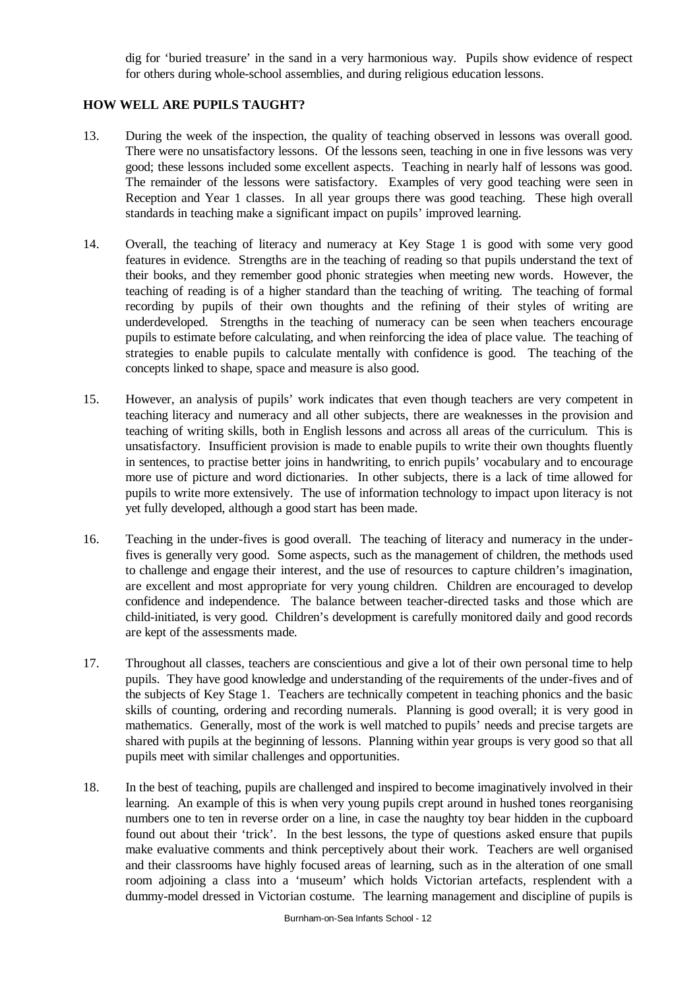dig for 'buried treasure' in the sand in a very harmonious way. Pupils show evidence of respect for others during whole-school assemblies, and during religious education lessons.

## **HOW WELL ARE PUPILS TAUGHT?**

- 13. During the week of the inspection, the quality of teaching observed in lessons was overall good. There were no unsatisfactory lessons. Of the lessons seen, teaching in one in five lessons was very good; these lessons included some excellent aspects. Teaching in nearly half of lessons was good. The remainder of the lessons were satisfactory. Examples of very good teaching were seen in Reception and Year 1 classes. In all year groups there was good teaching. These high overall standards in teaching make a significant impact on pupils' improved learning.
- 14. Overall, the teaching of literacy and numeracy at Key Stage 1 is good with some very good features in evidence. Strengths are in the teaching of reading so that pupils understand the text of their books, and they remember good phonic strategies when meeting new words. However, the teaching of reading is of a higher standard than the teaching of writing. The teaching of formal recording by pupils of their own thoughts and the refining of their styles of writing are underdeveloped. Strengths in the teaching of numeracy can be seen when teachers encourage pupils to estimate before calculating, and when reinforcing the idea of place value. The teaching of strategies to enable pupils to calculate mentally with confidence is good. The teaching of the concepts linked to shape, space and measure is also good.
- 15. However, an analysis of pupils' work indicates that even though teachers are very competent in teaching literacy and numeracy and all other subjects, there are weaknesses in the provision and teaching of writing skills, both in English lessons and across all areas of the curriculum. This is unsatisfactory. Insufficient provision is made to enable pupils to write their own thoughts fluently in sentences, to practise better joins in handwriting, to enrich pupils' vocabulary and to encourage more use of picture and word dictionaries. In other subjects, there is a lack of time allowed for pupils to write more extensively. The use of information technology to impact upon literacy is not yet fully developed, although a good start has been made.
- 16. Teaching in the under-fives is good overall. The teaching of literacy and numeracy in the underfives is generally very good. Some aspects, such as the management of children, the methods used to challenge and engage their interest, and the use of resources to capture children's imagination, are excellent and most appropriate for very young children. Children are encouraged to develop confidence and independence. The balance between teacher-directed tasks and those which are child-initiated, is very good. Children's development is carefully monitored daily and good records are kept of the assessments made.
- 17. Throughout all classes, teachers are conscientious and give a lot of their own personal time to help pupils. They have good knowledge and understanding of the requirements of the under-fives and of the subjects of Key Stage 1. Teachers are technically competent in teaching phonics and the basic skills of counting, ordering and recording numerals. Planning is good overall; it is very good in mathematics. Generally, most of the work is well matched to pupils' needs and precise targets are shared with pupils at the beginning of lessons. Planning within year groups is very good so that all pupils meet with similar challenges and opportunities.
- 18. In the best of teaching, pupils are challenged and inspired to become imaginatively involved in their learning. An example of this is when very young pupils crept around in hushed tones reorganising numbers one to ten in reverse order on a line, in case the naughty toy bear hidden in the cupboard found out about their 'trick'. In the best lessons, the type of questions asked ensure that pupils make evaluative comments and think perceptively about their work. Teachers are well organised and their classrooms have highly focused areas of learning, such as in the alteration of one small room adjoining a class into a 'museum' which holds Victorian artefacts, resplendent with a dummy-model dressed in Victorian costume. The learning management and discipline of pupils is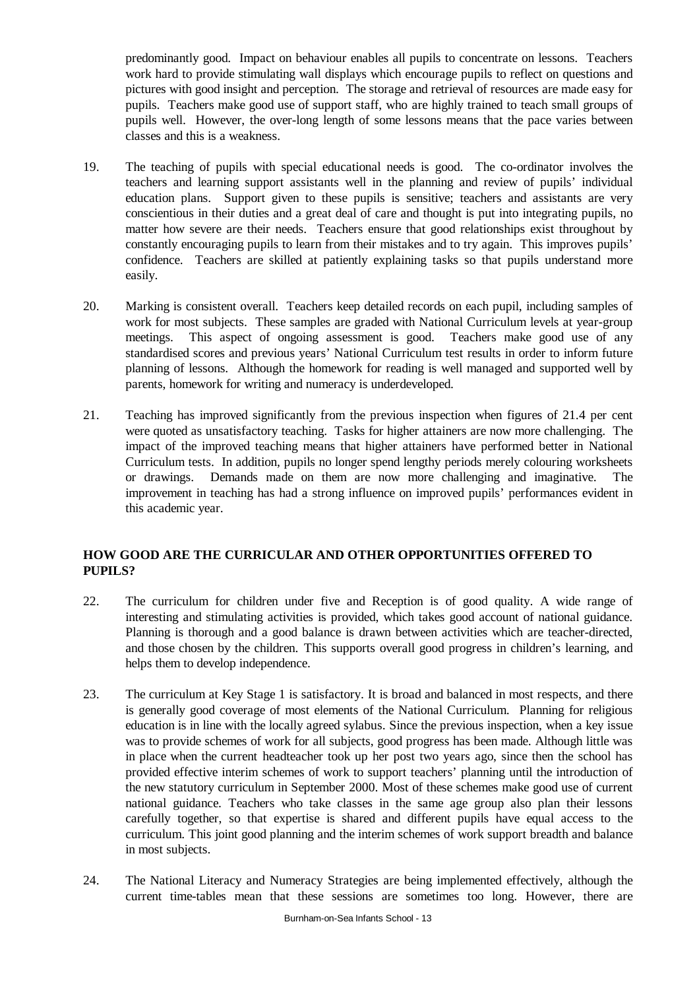predominantly good. Impact on behaviour enables all pupils to concentrate on lessons. Teachers work hard to provide stimulating wall displays which encourage pupils to reflect on questions and pictures with good insight and perception. The storage and retrieval of resources are made easy for pupils. Teachers make good use of support staff, who are highly trained to teach small groups of pupils well. However, the over-long length of some lessons means that the pace varies between classes and this is a weakness.

- 19. The teaching of pupils with special educational needs is good. The co-ordinator involves the teachers and learning support assistants well in the planning and review of pupils' individual education plans. Support given to these pupils is sensitive; teachers and assistants are very conscientious in their duties and a great deal of care and thought is put into integrating pupils, no matter how severe are their needs. Teachers ensure that good relationships exist throughout by constantly encouraging pupils to learn from their mistakes and to try again. This improves pupils' confidence. Teachers are skilled at patiently explaining tasks so that pupils understand more easily.
- 20. Marking is consistent overall. Teachers keep detailed records on each pupil, including samples of work for most subjects. These samples are graded with National Curriculum levels at year-group meetings. This aspect of ongoing assessment is good. Teachers make good use of any standardised scores and previous years' National Curriculum test results in order to inform future planning of lessons. Although the homework for reading is well managed and supported well by parents, homework for writing and numeracy is underdeveloped.
- 21. Teaching has improved significantly from the previous inspection when figures of 21.4 per cent were quoted as unsatisfactory teaching. Tasks for higher attainers are now more challenging. The impact of the improved teaching means that higher attainers have performed better in National Curriculum tests. In addition, pupils no longer spend lengthy periods merely colouring worksheets or drawings. Demands made on them are now more challenging and imaginative. The improvement in teaching has had a strong influence on improved pupils' performances evident in this academic year.

# **HOW GOOD ARE THE CURRICULAR AND OTHER OPPORTUNITIES OFFERED TO PUPILS?**

- 22. The curriculum for children under five and Reception is of good quality. A wide range of interesting and stimulating activities is provided, which takes good account of national guidance. Planning is thorough and a good balance is drawn between activities which are teacher-directed, and those chosen by the children. This supports overall good progress in children's learning, and helps them to develop independence.
- 23. The curriculum at Key Stage 1 is satisfactory. It is broad and balanced in most respects, and there is generally good coverage of most elements of the National Curriculum. Planning for religious education is in line with the locally agreed sylabus. Since the previous inspection, when a key issue was to provide schemes of work for all subjects, good progress has been made. Although little was in place when the current headteacher took up her post two years ago, since then the school has provided effective interim schemes of work to support teachers' planning until the introduction of the new statutory curriculum in September 2000. Most of these schemes make good use of current national guidance. Teachers who take classes in the same age group also plan their lessons carefully together, so that expertise is shared and different pupils have equal access to the curriculum. This joint good planning and the interim schemes of work support breadth and balance in most subjects.
- 24. The National Literacy and Numeracy Strategies are being implemented effectively, although the current time-tables mean that these sessions are sometimes too long. However, there are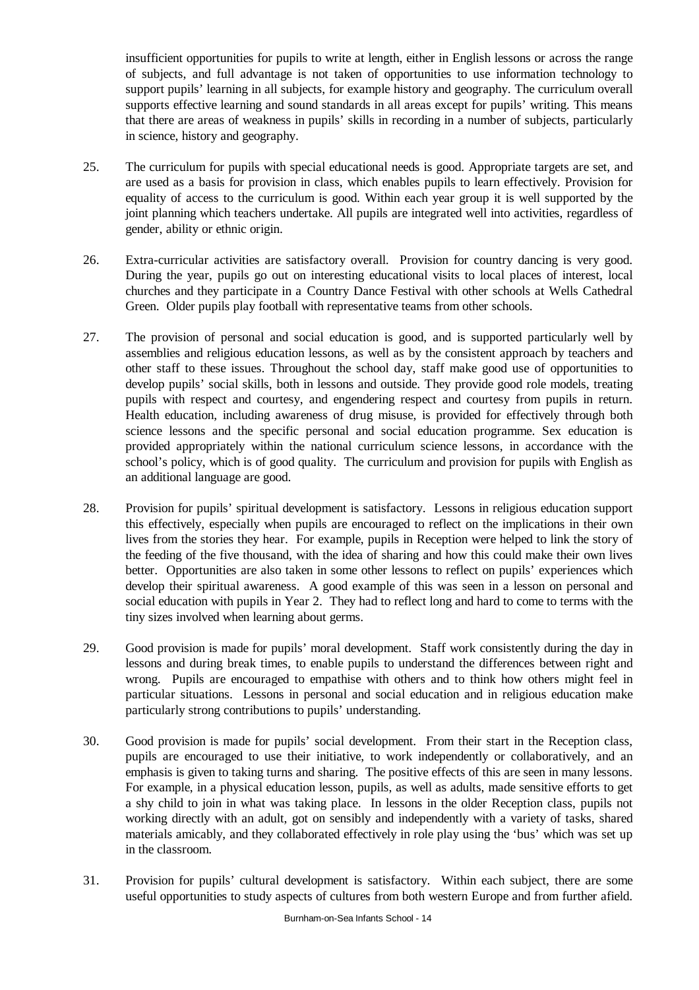insufficient opportunities for pupils to write at length, either in English lessons or across the range of subjects, and full advantage is not taken of opportunities to use information technology to support pupils' learning in all subjects, for example history and geography. The curriculum overall supports effective learning and sound standards in all areas except for pupils' writing. This means that there are areas of weakness in pupils' skills in recording in a number of subjects, particularly in science, history and geography.

- 25. The curriculum for pupils with special educational needs is good. Appropriate targets are set, and are used as a basis for provision in class, which enables pupils to learn effectively. Provision for equality of access to the curriculum is good. Within each year group it is well supported by the joint planning which teachers undertake. All pupils are integrated well into activities, regardless of gender, ability or ethnic origin.
- 26. Extra-curricular activities are satisfactory overall. Provision for country dancing is very good. During the year, pupils go out on interesting educational visits to local places of interest, local churches and they participate in a Country Dance Festival with other schools at Wells Cathedral Green. Older pupils play football with representative teams from other schools.
- 27. The provision of personal and social education is good, and is supported particularly well by assemblies and religious education lessons, as well as by the consistent approach by teachers and other staff to these issues. Throughout the school day, staff make good use of opportunities to develop pupils' social skills, both in lessons and outside. They provide good role models, treating pupils with respect and courtesy, and engendering respect and courtesy from pupils in return. Health education, including awareness of drug misuse, is provided for effectively through both science lessons and the specific personal and social education programme. Sex education is provided appropriately within the national curriculum science lessons, in accordance with the school's policy, which is of good quality. The curriculum and provision for pupils with English as an additional language are good.
- 28. Provision for pupils' spiritual development is satisfactory. Lessons in religious education support this effectively, especially when pupils are encouraged to reflect on the implications in their own lives from the stories they hear. For example, pupils in Reception were helped to link the story of the feeding of the five thousand, with the idea of sharing and how this could make their own lives better. Opportunities are also taken in some other lessons to reflect on pupils' experiences which develop their spiritual awareness. A good example of this was seen in a lesson on personal and social education with pupils in Year 2. They had to reflect long and hard to come to terms with the tiny sizes involved when learning about germs.
- 29. Good provision is made for pupils' moral development. Staff work consistently during the day in lessons and during break times, to enable pupils to understand the differences between right and wrong. Pupils are encouraged to empathise with others and to think how others might feel in particular situations. Lessons in personal and social education and in religious education make particularly strong contributions to pupils' understanding.
- 30. Good provision is made for pupils' social development. From their start in the Reception class, pupils are encouraged to use their initiative, to work independently or collaboratively, and an emphasis is given to taking turns and sharing. The positive effects of this are seen in many lessons. For example, in a physical education lesson, pupils, as well as adults, made sensitive efforts to get a shy child to join in what was taking place. In lessons in the older Reception class, pupils not working directly with an adult, got on sensibly and independently with a variety of tasks, shared materials amicably, and they collaborated effectively in role play using the 'bus' which was set up in the classroom.
- 31. Provision for pupils' cultural development is satisfactory. Within each subject, there are some useful opportunities to study aspects of cultures from both western Europe and from further afield.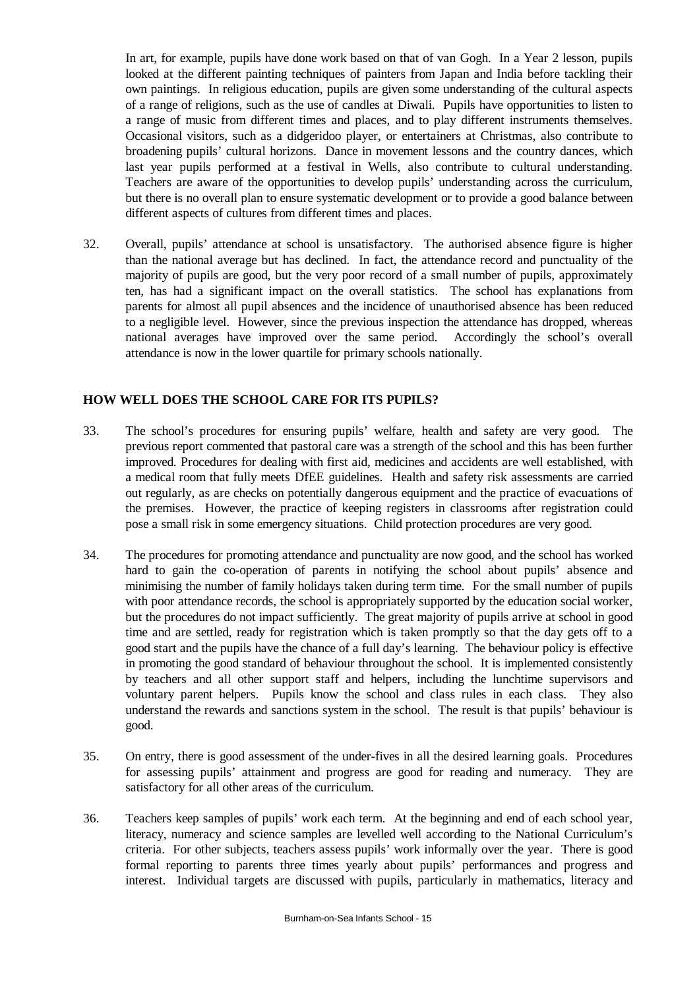In art, for example, pupils have done work based on that of van Gogh. In a Year 2 lesson, pupils looked at the different painting techniques of painters from Japan and India before tackling their own paintings. In religious education, pupils are given some understanding of the cultural aspects of a range of religions, such as the use of candles at Diwali. Pupils have opportunities to listen to a range of music from different times and places, and to play different instruments themselves. Occasional visitors, such as a didgeridoo player, or entertainers at Christmas, also contribute to broadening pupils' cultural horizons. Dance in movement lessons and the country dances, which last year pupils performed at a festival in Wells, also contribute to cultural understanding. Teachers are aware of the opportunities to develop pupils' understanding across the curriculum, but there is no overall plan to ensure systematic development or to provide a good balance between different aspects of cultures from different times and places.

32. Overall, pupils' attendance at school is unsatisfactory. The authorised absence figure is higher than the national average but has declined. In fact, the attendance record and punctuality of the majority of pupils are good, but the very poor record of a small number of pupils, approximately ten, has had a significant impact on the overall statistics. The school has explanations from parents for almost all pupil absences and the incidence of unauthorised absence has been reduced to a negligible level. However, since the previous inspection the attendance has dropped, whereas national averages have improved over the same period. Accordingly the school's overall attendance is now in the lower quartile for primary schools nationally.

## **HOW WELL DOES THE SCHOOL CARE FOR ITS PUPILS?**

- 33. The school's procedures for ensuring pupils' welfare, health and safety are very good. The previous report commented that pastoral care was a strength of the school and this has been further improved. Procedures for dealing with first aid, medicines and accidents are well established, with a medical room that fully meets DfEE guidelines. Health and safety risk assessments are carried out regularly, as are checks on potentially dangerous equipment and the practice of evacuations of the premises. However, the practice of keeping registers in classrooms after registration could pose a small risk in some emergency situations. Child protection procedures are very good.
- 34. The procedures for promoting attendance and punctuality are now good, and the school has worked hard to gain the co-operation of parents in notifying the school about pupils' absence and minimising the number of family holidays taken during term time. For the small number of pupils with poor attendance records, the school is appropriately supported by the education social worker, but the procedures do not impact sufficiently. The great majority of pupils arrive at school in good time and are settled, ready for registration which is taken promptly so that the day gets off to a good start and the pupils have the chance of a full day's learning. The behaviour policy is effective in promoting the good standard of behaviour throughout the school. It is implemented consistently by teachers and all other support staff and helpers, including the lunchtime supervisors and voluntary parent helpers. Pupils know the school and class rules in each class. They also understand the rewards and sanctions system in the school. The result is that pupils' behaviour is good.
- 35. On entry, there is good assessment of the under-fives in all the desired learning goals. Procedures for assessing pupils' attainment and progress are good for reading and numeracy. They are satisfactory for all other areas of the curriculum.
- 36. Teachers keep samples of pupils' work each term. At the beginning and end of each school year, literacy, numeracy and science samples are levelled well according to the National Curriculum's criteria. For other subjects, teachers assess pupils' work informally over the year. There is good formal reporting to parents three times yearly about pupils' performances and progress and interest. Individual targets are discussed with pupils, particularly in mathematics, literacy and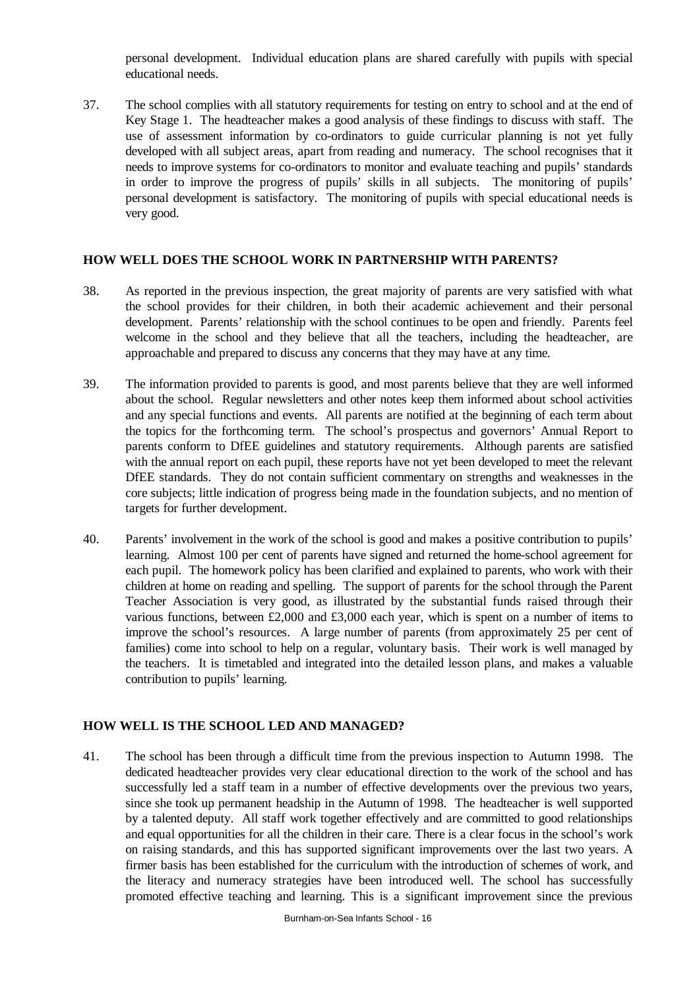personal development. Individual education plans are shared carefully with pupils with special educational needs.

37. The school complies with all statutory requirements for testing on entry to school and at the end of Key Stage 1. The headteacher makes a good analysis of these findings to discuss with staff. The use of assessment information by co-ordinators to guide curricular planning is not yet fully developed with all subject areas, apart from reading and numeracy. The school recognises that it needs to improve systems for co-ordinators to monitor and evaluate teaching and pupils' standards in order to improve the progress of pupils' skills in all subjects. The monitoring of pupils' personal development is satisfactory. The monitoring of pupils with special educational needs is very good.

## **HOW WELL DOES THE SCHOOL WORK IN PARTNERSHIP WITH PARENTS?**

- 38. As reported in the previous inspection, the great majority of parents are very satisfied with what the school provides for their children, in both their academic achievement and their personal development. Parents' relationship with the school continues to be open and friendly. Parents feel welcome in the school and they believe that all the teachers, including the headteacher, are approachable and prepared to discuss any concerns that they may have at any time.
- 39. The information provided to parents is good, and most parents believe that they are well informed about the school. Regular newsletters and other notes keep them informed about school activities and any special functions and events. All parents are notified at the beginning of each term about the topics for the forthcoming term. The school's prospectus and governors' Annual Report to parents conform to DfEE guidelines and statutory requirements. Although parents are satisfied with the annual report on each pupil, these reports have not yet been developed to meet the relevant DfEE standards. They do not contain sufficient commentary on strengths and weaknesses in the core subjects; little indication of progress being made in the foundation subjects, and no mention of targets for further development.
- 40. Parents' involvement in the work of the school is good and makes a positive contribution to pupils' learning. Almost 100 per cent of parents have signed and returned the home-school agreement for each pupil. The homework policy has been clarified and explained to parents, who work with their children at home on reading and spelling. The support of parents for the school through the Parent Teacher Association is very good, as illustrated by the substantial funds raised through their various functions, between £2,000 and £3,000 each year, which is spent on a number of items to improve the school's resources. A large number of parents (from approximately 25 per cent of families) come into school to help on a regular, voluntary basis. Their work is well managed by the teachers. It is timetabled and integrated into the detailed lesson plans, and makes a valuable contribution to pupils' learning.

## **HOW WELL IS THE SCHOOL LED AND MANAGED?**

41. The school has been through a difficult time from the previous inspection to Autumn 1998. The dedicated headteacher provides very clear educational direction to the work of the school and has successfully led a staff team in a number of effective developments over the previous two years, since she took up permanent headship in the Autumn of 1998. The headteacher is well supported by a talented deputy. All staff work together effectively and are committed to good relationships and equal opportunities for all the children in their care. There is a clear focus in the school's work on raising standards, and this has supported significant improvements over the last two years. A firmer basis has been established for the curriculum with the introduction of schemes of work, and the literacy and numeracy strategies have been introduced well. The school has successfully promoted effective teaching and learning. This is a significant improvement since the previous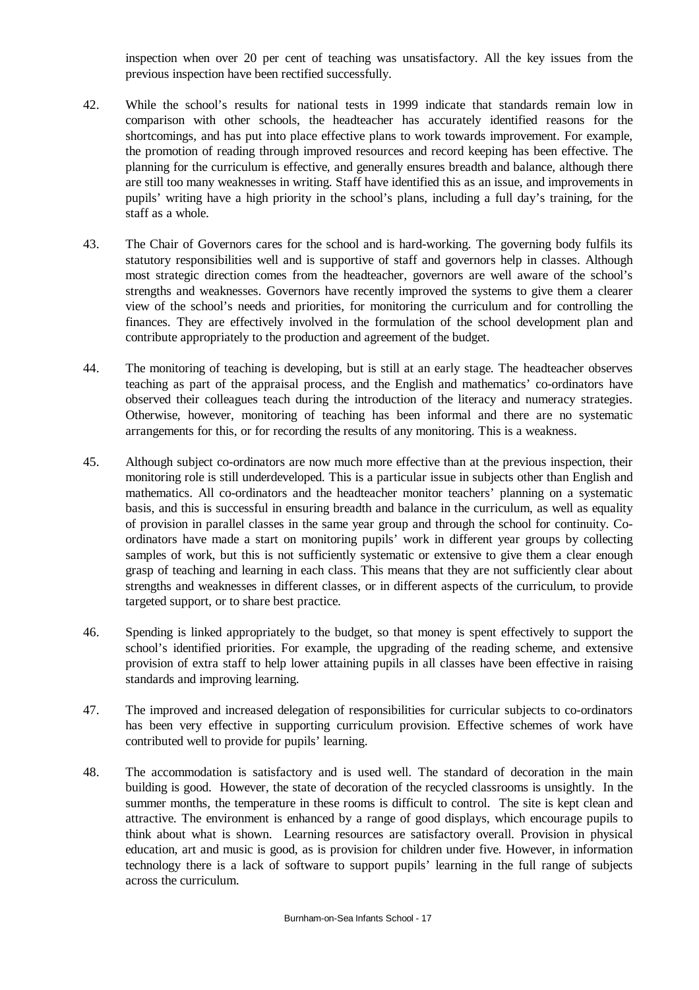inspection when over 20 per cent of teaching was unsatisfactory. All the key issues from the previous inspection have been rectified successfully.

- 42. While the school's results for national tests in 1999 indicate that standards remain low in comparison with other schools, the headteacher has accurately identified reasons for the shortcomings, and has put into place effective plans to work towards improvement. For example, the promotion of reading through improved resources and record keeping has been effective. The planning for the curriculum is effective, and generally ensures breadth and balance, although there are still too many weaknesses in writing. Staff have identified this as an issue, and improvements in pupils' writing have a high priority in the school's plans, including a full day's training, for the staff as a whole.
- 43. The Chair of Governors cares for the school and is hard-working. The governing body fulfils its statutory responsibilities well and is supportive of staff and governors help in classes. Although most strategic direction comes from the headteacher, governors are well aware of the school's strengths and weaknesses. Governors have recently improved the systems to give them a clearer view of the school's needs and priorities, for monitoring the curriculum and for controlling the finances. They are effectively involved in the formulation of the school development plan and contribute appropriately to the production and agreement of the budget.
- 44. The monitoring of teaching is developing, but is still at an early stage. The headteacher observes teaching as part of the appraisal process, and the English and mathematics' co-ordinators have observed their colleagues teach during the introduction of the literacy and numeracy strategies. Otherwise, however, monitoring of teaching has been informal and there are no systematic arrangements for this, or for recording the results of any monitoring. This is a weakness.
- 45. Although subject co-ordinators are now much more effective than at the previous inspection, their monitoring role is still underdeveloped. This is a particular issue in subjects other than English and mathematics. All co-ordinators and the headteacher monitor teachers' planning on a systematic basis, and this is successful in ensuring breadth and balance in the curriculum, as well as equality of provision in parallel classes in the same year group and through the school for continuity. Coordinators have made a start on monitoring pupils' work in different year groups by collecting samples of work, but this is not sufficiently systematic or extensive to give them a clear enough grasp of teaching and learning in each class. This means that they are not sufficiently clear about strengths and weaknesses in different classes, or in different aspects of the curriculum, to provide targeted support, or to share best practice.
- 46. Spending is linked appropriately to the budget, so that money is spent effectively to support the school's identified priorities. For example, the upgrading of the reading scheme, and extensive provision of extra staff to help lower attaining pupils in all classes have been effective in raising standards and improving learning.
- 47. The improved and increased delegation of responsibilities for curricular subjects to co-ordinators has been very effective in supporting curriculum provision. Effective schemes of work have contributed well to provide for pupils' learning.
- 48. The accommodation is satisfactory and is used well. The standard of decoration in the main building is good. However, the state of decoration of the recycled classrooms is unsightly. In the summer months, the temperature in these rooms is difficult to control. The site is kept clean and attractive. The environment is enhanced by a range of good displays, which encourage pupils to think about what is shown. Learning resources are satisfactory overall. Provision in physical education, art and music is good, as is provision for children under five. However, in information technology there is a lack of software to support pupils' learning in the full range of subjects across the curriculum.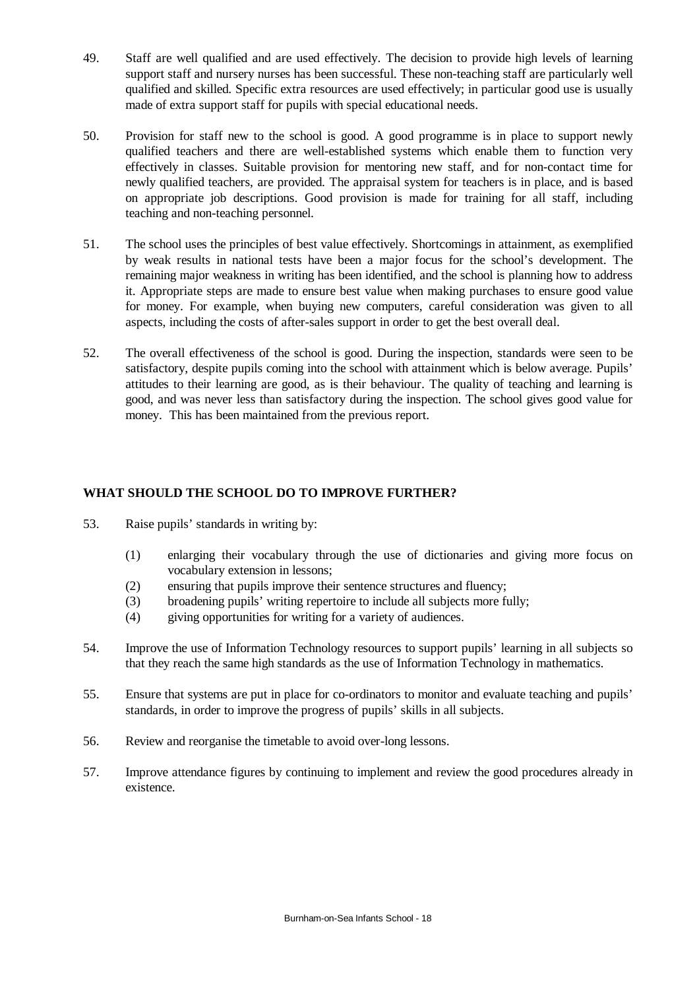- 49. Staff are well qualified and are used effectively. The decision to provide high levels of learning support staff and nursery nurses has been successful. These non-teaching staff are particularly well qualified and skilled. Specific extra resources are used effectively; in particular good use is usually made of extra support staff for pupils with special educational needs.
- 50. Provision for staff new to the school is good. A good programme is in place to support newly qualified teachers and there are well-established systems which enable them to function very effectively in classes. Suitable provision for mentoring new staff, and for non-contact time for newly qualified teachers, are provided. The appraisal system for teachers is in place, and is based on appropriate job descriptions. Good provision is made for training for all staff, including teaching and non-teaching personnel.
- 51. The school uses the principles of best value effectively. Shortcomings in attainment, as exemplified by weak results in national tests have been a major focus for the school's development. The remaining major weakness in writing has been identified, and the school is planning how to address it. Appropriate steps are made to ensure best value when making purchases to ensure good value for money. For example, when buying new computers, careful consideration was given to all aspects, including the costs of after-sales support in order to get the best overall deal.
- 52. The overall effectiveness of the school is good. During the inspection, standards were seen to be satisfactory, despite pupils coming into the school with attainment which is below average. Pupils' attitudes to their learning are good, as is their behaviour. The quality of teaching and learning is good, and was never less than satisfactory during the inspection. The school gives good value for money. This has been maintained from the previous report.

# **WHAT SHOULD THE SCHOOL DO TO IMPROVE FURTHER?**

- 53. Raise pupils' standards in writing by:
	- (1) enlarging their vocabulary through the use of dictionaries and giving more focus on vocabulary extension in lessons;
	- (2) ensuring that pupils improve their sentence structures and fluency;
	- (3) broadening pupils' writing repertoire to include all subjects more fully;
	- (4) giving opportunities for writing for a variety of audiences.
- 54. Improve the use of Information Technology resources to support pupils' learning in all subjects so that they reach the same high standards as the use of Information Technology in mathematics.
- 55. Ensure that systems are put in place for co-ordinators to monitor and evaluate teaching and pupils' standards, in order to improve the progress of pupils' skills in all subjects.
- 56. Review and reorganise the timetable to avoid over-long lessons.
- 57. Improve attendance figures by continuing to implement and review the good procedures already in existence.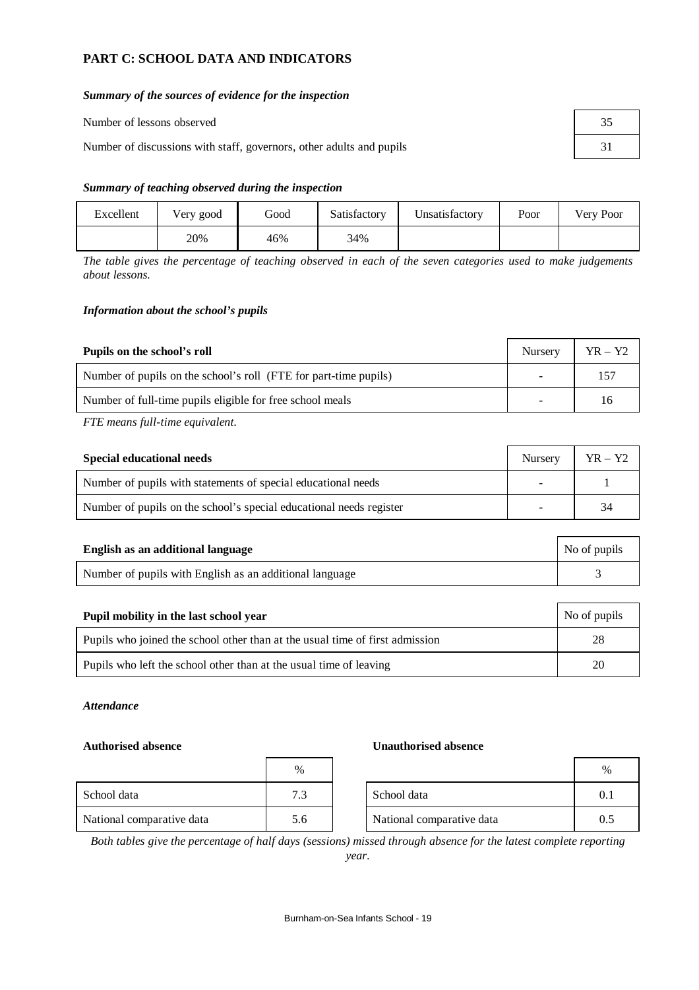# **PART C: SCHOOL DATA AND INDICATORS**

#### *Summary of the sources of evidence for the inspection*

| Number of lessons observed                                           |  |
|----------------------------------------------------------------------|--|
| Number of discussions with staff, governors, other adults and pupils |  |

#### *Summary of teaching observed during the inspection*

| Excellent | Very good | Good | Satisfactory | Unsatisfactory | Poor | Very Poor |
|-----------|-----------|------|--------------|----------------|------|-----------|
|           | 20%       | 46%  | 34%          |                |      |           |

*The table gives the percentage of teaching observed in each of the seven categories used to make judgements about lessons.*

#### *Information about the school's pupils*

| Pupils on the school's roll                                      | <b>Nursery</b>           | $YR - Y2$ |
|------------------------------------------------------------------|--------------------------|-----------|
| Number of pupils on the school's roll (FTE for part-time pupils) | $\overline{\phantom{0}}$ | $15-$     |
| Number of full-time pupils eligible for free school meals        | -                        | 16        |

*FTE means full-time equivalent.*

| Special educational needs                                           |  | $YR - Y2$ |
|---------------------------------------------------------------------|--|-----------|
| Number of pupils with statements of special educational needs       |  |           |
| Number of pupils on the school's special educational needs register |  | 34        |

| English as an additional language                       | No of pupils |
|---------------------------------------------------------|--------------|
| Number of pupils with English as an additional language |              |

| Pupil mobility in the last school year                                       | No of pupils |
|------------------------------------------------------------------------------|--------------|
| Pupils who joined the school other than at the usual time of first admission | 28           |
| Pupils who left the school other than at the usual time of leaving           | 20           |

#### *Attendance*

|                           | $\%$ |                           | %   |
|---------------------------|------|---------------------------|-----|
| School data               | 7.3  | School data               | 0.1 |
| National comparative data | 5.6  | National comparative data | 0.5 |

#### **Authorised absence Unauthorised absence**

| %   |                           | $\frac{0}{0}$ |
|-----|---------------------------|---------------|
|     | School data               |               |
| 5.6 | National comparative data | 0.5           |

*Both tables give the percentage of half days (sessions) missed through absence for the latest complete reporting year.*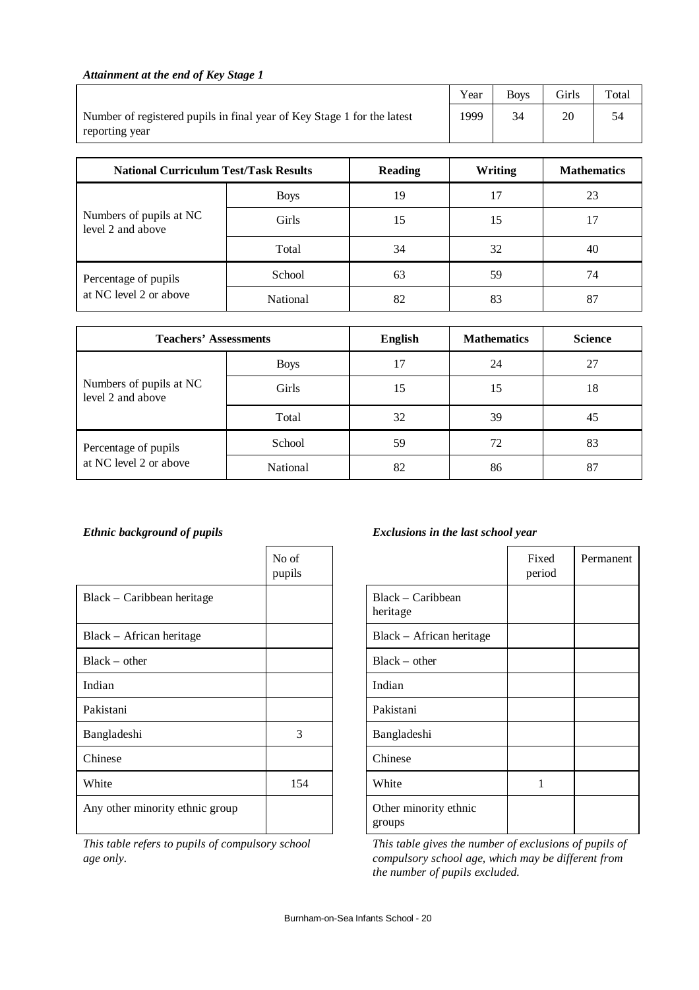## *Attainment at the end of Key Stage 1*

|                                                                                           | Year | <b>Boys</b> | <b>Girls</b> | $_{\rm Total}$ |
|-------------------------------------------------------------------------------------------|------|-------------|--------------|----------------|
| Number of registered pupils in final year of Key Stage 1 for the latest<br>reporting year | 1999 |             |              | 54             |

| <b>National Curriculum Test/Task Results</b> |             | <b>Reading</b> | Writing | <b>Mathematics</b> |
|----------------------------------------------|-------------|----------------|---------|--------------------|
|                                              | <b>Boys</b> | 19             |         | 23                 |
| Numbers of pupils at NC<br>level 2 and above | Girls       | 15             | 15      | 17                 |
|                                              | Total       | 34             | 32      | 40                 |
| Percentage of pupils                         | School      | 63             | 59      | 74                 |
| at NC level 2 or above                       | National    | 82             | 83      | 87                 |

| <b>Teachers' Assessments</b>                 |             | <b>English</b> | <b>Mathematics</b> | <b>Science</b> |
|----------------------------------------------|-------------|----------------|--------------------|----------------|
|                                              | <b>Boys</b> | 17             | 24                 | 27             |
| Numbers of pupils at NC<br>level 2 and above | Girls       | 15             | 15                 | 18             |
|                                              | Total       | 32             | 39                 | 45             |
| Percentage of pupils                         | School      | 59             | 72                 | 83             |
| at NC level 2 or above                       | National    | 82             | 86                 | 87             |

|                                 | No of<br>pupils |                                 | Fix<br>peri |
|---------------------------------|-----------------|---------------------------------|-------------|
| Black – Caribbean heritage      |                 | Black – Caribbean<br>heritage   |             |
| Black – African heritage        |                 | Black – African heritage        |             |
| $Black - other$                 |                 | $Black - other$                 |             |
| Indian                          |                 | Indian                          |             |
| Pakistani                       |                 | Pakistani                       |             |
| Bangladeshi                     | 3               | Bangladeshi                     |             |
| Chinese                         |                 | Chinese                         |             |
| White                           | 154             | White                           | 1           |
| Any other minority ethnic group |                 | Other minority ethnic<br>groups |             |

*This table refers to pupils of compulsory school age only.*

## *Ethnic background of pupils Exclusions in the last school year*

|                                 | Fixed<br>period | Permanent |
|---------------------------------|-----------------|-----------|
| Black – Caribbean<br>heritage   |                 |           |
| Black - African heritage        |                 |           |
| $Black - other$                 |                 |           |
| Indian                          |                 |           |
| Pakistani                       |                 |           |
| Bangladeshi                     |                 |           |
| Chinese                         |                 |           |
| White                           | 1               |           |
| Other minority ethnic<br>groups |                 |           |

*This table gives the number of exclusions of pupils of compulsory school age, which may be different from the number of pupils excluded.*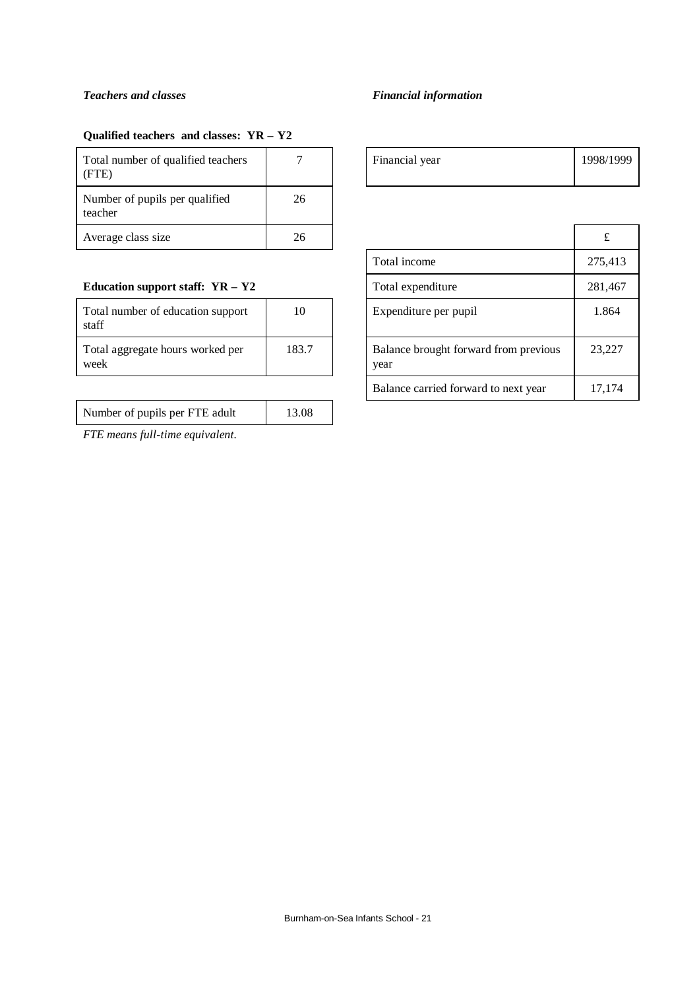#### *Teachers and classes Financial information*

## **Qualified teachers and classes: YR – Y2**

| Total number of qualified teachers<br>(FTE) |    | Financial year | 1998/ |
|---------------------------------------------|----|----------------|-------|
| Number of pupils per qualified<br>teacher   | 26 |                |       |
| Average class size                          | 26 |                | £     |

## **Education support staff: YR - Y2**

| Total number of education support<br>staff | 10    |
|--------------------------------------------|-------|
| Total aggregate hours worked per<br>week   | 183.7 |

| Number of pupils per FTE adult | 13.08 |
|--------------------------------|-------|
|                                |       |

*FTE means full-time equivalent.*

| - | Financial year | 1998/1999 |
|---|----------------|-----------|
|   |                |           |

| 26                                                     |  |                                      | £       |
|--------------------------------------------------------|--|--------------------------------------|---------|
|                                                        |  | Total income                         | 275,413 |
|                                                        |  | Total expenditure                    | 281,467 |
| 10                                                     |  | Expenditure per pupil                | 1.864   |
| Balance brought forward from previous<br>183.7<br>year |  | 23,227                               |         |
|                                                        |  | Balance carried forward to next year | 17,174  |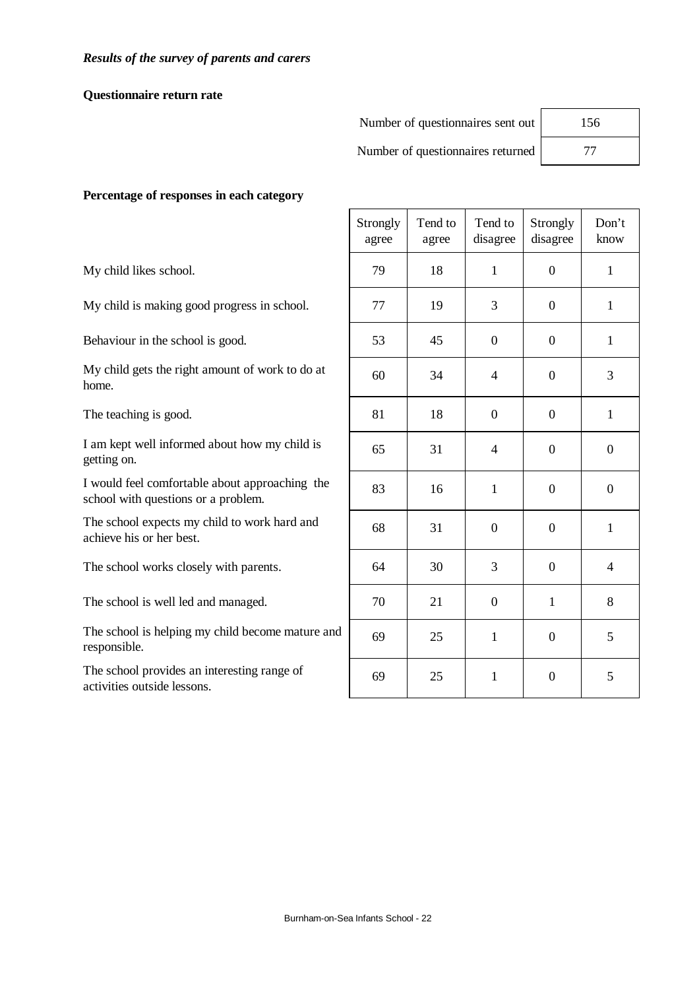## **Questionnaire return rate**

| Number of questionnaires sent out | 156 |
|-----------------------------------|-----|
| Number of questionnaires returned | 77  |

## **Percentage of responses in each category**

My child likes school.

My child is making good progress in school.

Behaviour in the school is good.

My child gets the right amount of work to do at home.

The teaching is good.

I am kept well informed about how my child is getting on.

I would feel comfortable about approaching the school with questions or a problem.

The school expects my child to work hard and achieve his or her best.

The school works closely with parents.

The school is well led and managed.

The school is helping my child become mature and responsible.

The school provides an interesting range of activities outside lessons.

|               | Strongly<br>agree | Tend to<br>agree | Tend to<br>disagree | Strongly<br>disagree | Don't<br>know    |
|---------------|-------------------|------------------|---------------------|----------------------|------------------|
|               | 79                | 18               | $\mathbf{1}$        | $\overline{0}$       | $\mathbf{1}$     |
|               | 77                | 19               | 3                   | $\boldsymbol{0}$     | $\mathbf{1}$     |
|               | 53                | 45               | $\mathbf{0}$        | $\boldsymbol{0}$     | $\mathbf{1}$     |
|               | 60                | 34               | $\overline{4}$      | $\boldsymbol{0}$     | 3                |
|               | 81                | 18               | $\boldsymbol{0}$    | $\overline{0}$       | $\mathbf{1}$     |
|               | 65                | 31               | $\overline{4}$      | $\boldsymbol{0}$     | $\boldsymbol{0}$ |
|               | 83                | 16               | $\mathbf{1}$        | $\boldsymbol{0}$     | $\boldsymbol{0}$ |
|               | 68                | 31               | $\boldsymbol{0}$    | $\boldsymbol{0}$     | $\mathbf{1}$     |
|               | 64                | 30               | 3                   | $\boldsymbol{0}$     | $\overline{4}$   |
|               | 70                | 21               | $\mathbf{0}$        | $\mathbf{1}$         | 8                |
| $\mathfrak l$ | 69                | 25               | $\mathbf{1}$        | $\boldsymbol{0}$     | 5                |
|               | 69                | 25               | $\mathbf{1}$        | $\overline{0}$       | 5                |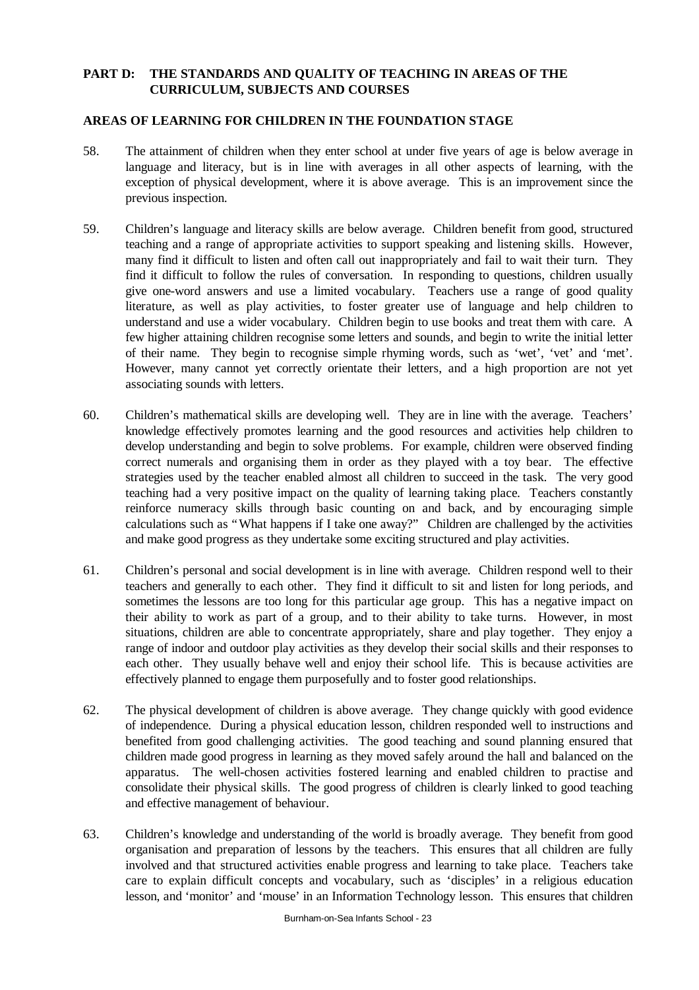## **PART D: THE STANDARDS AND QUALITY OF TEACHING IN AREAS OF THE CURRICULUM, SUBJECTS AND COURSES**

### **AREAS OF LEARNING FOR CHILDREN IN THE FOUNDATION STAGE**

- 58. The attainment of children when they enter school at under five years of age is below average in language and literacy, but is in line with averages in all other aspects of learning, with the exception of physical development, where it is above average. This is an improvement since the previous inspection.
- 59. Children's language and literacy skills are below average. Children benefit from good, structured teaching and a range of appropriate activities to support speaking and listening skills. However, many find it difficult to listen and often call out inappropriately and fail to wait their turn. They find it difficult to follow the rules of conversation. In responding to questions, children usually give one-word answers and use a limited vocabulary. Teachers use a range of good quality literature, as well as play activities, to foster greater use of language and help children to understand and use a wider vocabulary. Children begin to use books and treat them with care. A few higher attaining children recognise some letters and sounds, and begin to write the initial letter of their name. They begin to recognise simple rhyming words, such as 'wet', 'vet' and 'met'. However, many cannot yet correctly orientate their letters, and a high proportion are not yet associating sounds with letters.
- 60. Children's mathematical skills are developing well. They are in line with the average. Teachers' knowledge effectively promotes learning and the good resources and activities help children to develop understanding and begin to solve problems. For example, children were observed finding correct numerals and organising them in order as they played with a toy bear. The effective strategies used by the teacher enabled almost all children to succeed in the task. The very good teaching had a very positive impact on the quality of learning taking place. Teachers constantly reinforce numeracy skills through basic counting on and back, and by encouraging simple calculations such as "What happens if I take one away?" Children are challenged by the activities and make good progress as they undertake some exciting structured and play activities.
- 61. Children's personal and social development is in line with average. Children respond well to their teachers and generally to each other. They find it difficult to sit and listen for long periods, and sometimes the lessons are too long for this particular age group. This has a negative impact on their ability to work as part of a group, and to their ability to take turns. However, in most situations, children are able to concentrate appropriately, share and play together. They enjoy a range of indoor and outdoor play activities as they develop their social skills and their responses to each other. They usually behave well and enjoy their school life. This is because activities are effectively planned to engage them purposefully and to foster good relationships.
- 62. The physical development of children is above average. They change quickly with good evidence of independence. During a physical education lesson, children responded well to instructions and benefited from good challenging activities. The good teaching and sound planning ensured that children made good progress in learning as they moved safely around the hall and balanced on the apparatus. The well-chosen activities fostered learning and enabled children to practise and consolidate their physical skills. The good progress of children is clearly linked to good teaching and effective management of behaviour.
- 63. Children's knowledge and understanding of the world is broadly average. They benefit from good organisation and preparation of lessons by the teachers. This ensures that all children are fully involved and that structured activities enable progress and learning to take place. Teachers take care to explain difficult concepts and vocabulary, such as 'disciples' in a religious education lesson, and 'monitor' and 'mouse' in an Information Technology lesson. This ensures that children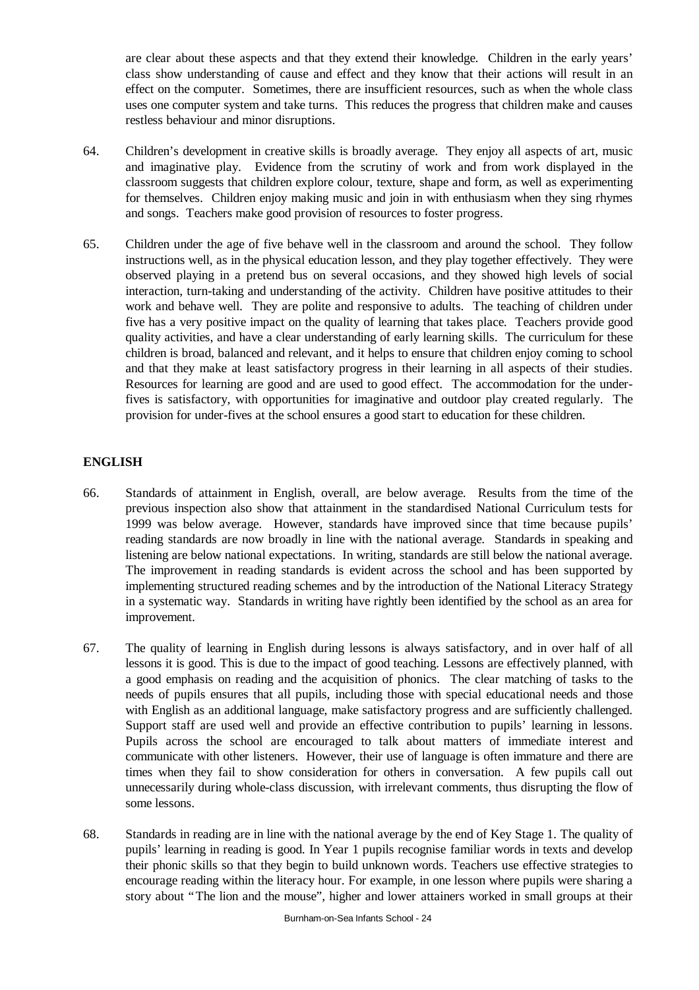are clear about these aspects and that they extend their knowledge. Children in the early years' class show understanding of cause and effect and they know that their actions will result in an effect on the computer. Sometimes, there are insufficient resources, such as when the whole class uses one computer system and take turns. This reduces the progress that children make and causes restless behaviour and minor disruptions.

- 64. Children's development in creative skills is broadly average. They enjoy all aspects of art, music and imaginative play. Evidence from the scrutiny of work and from work displayed in the classroom suggests that children explore colour, texture, shape and form, as well as experimenting for themselves. Children enjoy making music and join in with enthusiasm when they sing rhymes and songs. Teachers make good provision of resources to foster progress.
- 65. Children under the age of five behave well in the classroom and around the school. They follow instructions well, as in the physical education lesson, and they play together effectively. They were observed playing in a pretend bus on several occasions, and they showed high levels of social interaction, turn-taking and understanding of the activity. Children have positive attitudes to their work and behave well. They are polite and responsive to adults. The teaching of children under five has a very positive impact on the quality of learning that takes place. Teachers provide good quality activities, and have a clear understanding of early learning skills. The curriculum for these children is broad, balanced and relevant, and it helps to ensure that children enjoy coming to school and that they make at least satisfactory progress in their learning in all aspects of their studies. Resources for learning are good and are used to good effect. The accommodation for the underfives is satisfactory, with opportunities for imaginative and outdoor play created regularly. The provision for under-fives at the school ensures a good start to education for these children.

## **ENGLISH**

- 66. Standards of attainment in English, overall, are below average. Results from the time of the previous inspection also show that attainment in the standardised National Curriculum tests for 1999 was below average. However, standards have improved since that time because pupils' reading standards are now broadly in line with the national average. Standards in speaking and listening are below national expectations. In writing, standards are still below the national average. The improvement in reading standards is evident across the school and has been supported by implementing structured reading schemes and by the introduction of the National Literacy Strategy in a systematic way. Standards in writing have rightly been identified by the school as an area for improvement.
- 67. The quality of learning in English during lessons is always satisfactory, and in over half of all lessons it is good. This is due to the impact of good teaching. Lessons are effectively planned, with a good emphasis on reading and the acquisition of phonics. The clear matching of tasks to the needs of pupils ensures that all pupils, including those with special educational needs and those with English as an additional language, make satisfactory progress and are sufficiently challenged. Support staff are used well and provide an effective contribution to pupils' learning in lessons. Pupils across the school are encouraged to talk about matters of immediate interest and communicate with other listeners. However, their use of language is often immature and there are times when they fail to show consideration for others in conversation. A few pupils call out unnecessarily during whole-class discussion, with irrelevant comments, thus disrupting the flow of some lessons.
- 68. Standards in reading are in line with the national average by the end of Key Stage 1. The quality of pupils' learning in reading is good. In Year 1 pupils recognise familiar words in texts and develop their phonic skills so that they begin to build unknown words. Teachers use effective strategies to encourage reading within the literacy hour. For example, in one lesson where pupils were sharing a story about "The lion and the mouse", higher and lower attainers worked in small groups at their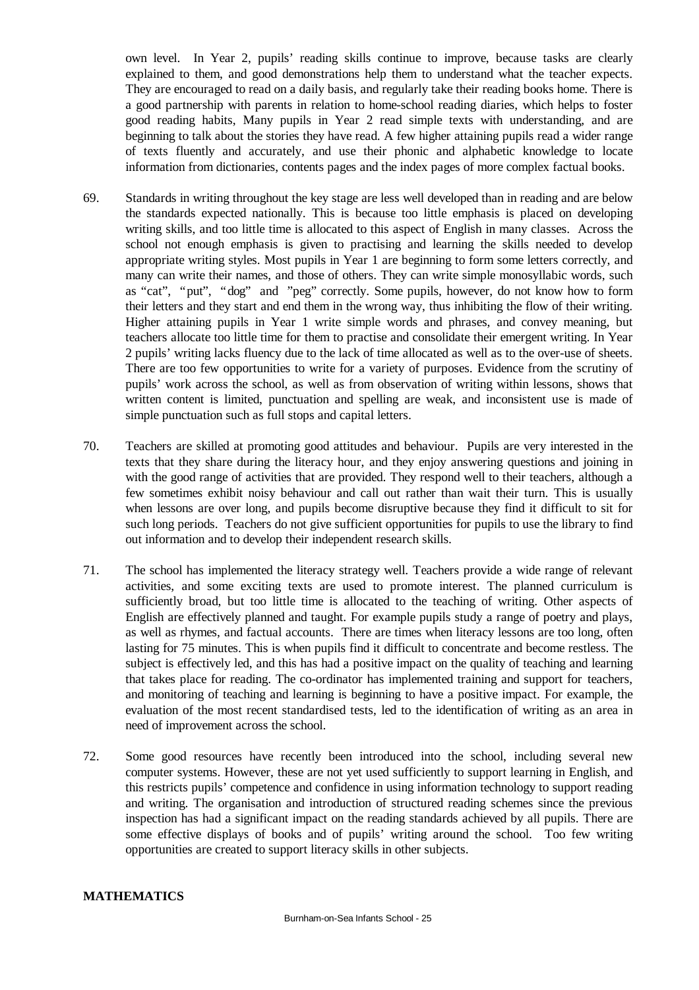own level. In Year 2, pupils' reading skills continue to improve, because tasks are clearly explained to them, and good demonstrations help them to understand what the teacher expects. They are encouraged to read on a daily basis, and regularly take their reading books home. There is a good partnership with parents in relation to home-school reading diaries, which helps to foster good reading habits, Many pupils in Year 2 read simple texts with understanding, and are beginning to talk about the stories they have read. A few higher attaining pupils read a wider range of texts fluently and accurately, and use their phonic and alphabetic knowledge to locate information from dictionaries, contents pages and the index pages of more complex factual books.

- 69. Standards in writing throughout the key stage are less well developed than in reading and are below the standards expected nationally. This is because too little emphasis is placed on developing writing skills, and too little time is allocated to this aspect of English in many classes. Across the school not enough emphasis is given to practising and learning the skills needed to develop appropriate writing styles. Most pupils in Year 1 are beginning to form some letters correctly, and many can write their names, and those of others. They can write simple monosyllabic words, such as "cat", "put", "dog" and "peg" correctly. Some pupils, however, do not know how to form their letters and they start and end them in the wrong way, thus inhibiting the flow of their writing. Higher attaining pupils in Year 1 write simple words and phrases, and convey meaning, but teachers allocate too little time for them to practise and consolidate their emergent writing. In Year 2 pupils' writing lacks fluency due to the lack of time allocated as well as to the over-use of sheets. There are too few opportunities to write for a variety of purposes. Evidence from the scrutiny of pupils' work across the school, as well as from observation of writing within lessons, shows that written content is limited, punctuation and spelling are weak, and inconsistent use is made of simple punctuation such as full stops and capital letters.
- 70. Teachers are skilled at promoting good attitudes and behaviour. Pupils are very interested in the texts that they share during the literacy hour, and they enjoy answering questions and joining in with the good range of activities that are provided. They respond well to their teachers, although a few sometimes exhibit noisy behaviour and call out rather than wait their turn. This is usually when lessons are over long, and pupils become disruptive because they find it difficult to sit for such long periods. Teachers do not give sufficient opportunities for pupils to use the library to find out information and to develop their independent research skills.
- 71. The school has implemented the literacy strategy well. Teachers provide a wide range of relevant activities, and some exciting texts are used to promote interest. The planned curriculum is sufficiently broad, but too little time is allocated to the teaching of writing. Other aspects of English are effectively planned and taught. For example pupils study a range of poetry and plays, as well as rhymes, and factual accounts. There are times when literacy lessons are too long, often lasting for 75 minutes. This is when pupils find it difficult to concentrate and become restless. The subject is effectively led, and this has had a positive impact on the quality of teaching and learning that takes place for reading. The co-ordinator has implemented training and support for teachers, and monitoring of teaching and learning is beginning to have a positive impact. For example, the evaluation of the most recent standardised tests, led to the identification of writing as an area in need of improvement across the school.
- 72. Some good resources have recently been introduced into the school, including several new computer systems. However, these are not yet used sufficiently to support learning in English, and this restricts pupils' competence and confidence in using information technology to support reading and writing. The organisation and introduction of structured reading schemes since the previous inspection has had a significant impact on the reading standards achieved by all pupils. There are some effective displays of books and of pupils' writing around the school. Too few writing opportunities are created to support literacy skills in other subjects.

## **MATHEMATICS**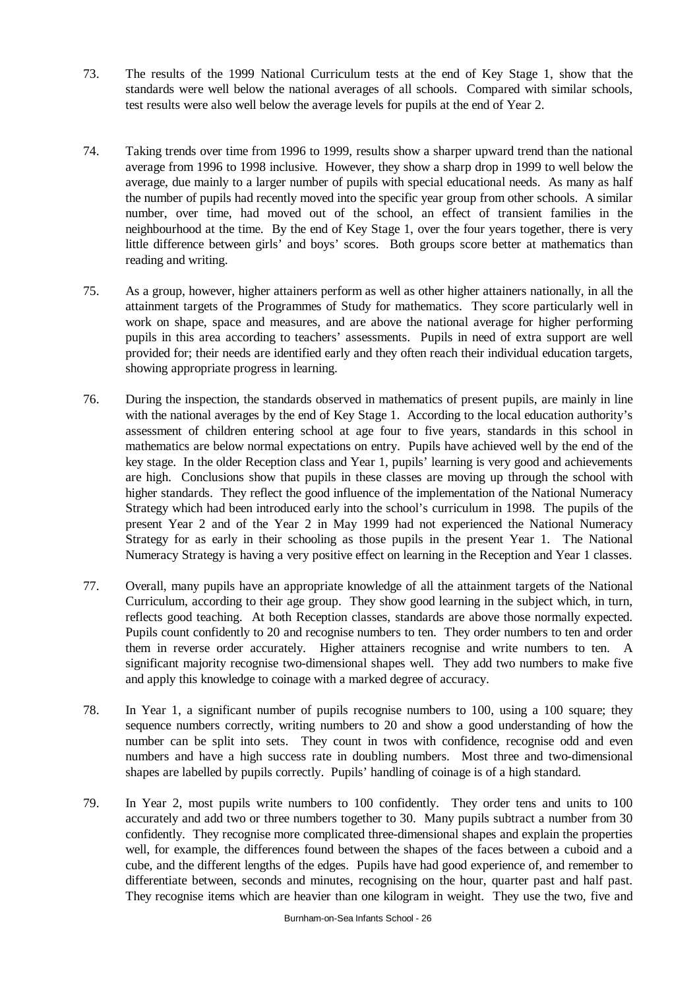- 73. The results of the 1999 National Curriculum tests at the end of Key Stage 1, show that the standards were well below the national averages of all schools. Compared with similar schools, test results were also well below the average levels for pupils at the end of Year 2.
- 74. Taking trends over time from 1996 to 1999, results show a sharper upward trend than the national average from 1996 to 1998 inclusive. However, they show a sharp drop in 1999 to well below the average, due mainly to a larger number of pupils with special educational needs. As many as half the number of pupils had recently moved into the specific year group from other schools. A similar number, over time, had moved out of the school, an effect of transient families in the neighbourhood at the time. By the end of Key Stage 1, over the four years together, there is very little difference between girls' and boys' scores. Both groups score better at mathematics than reading and writing.
- 75. As a group, however, higher attainers perform as well as other higher attainers nationally, in all the attainment targets of the Programmes of Study for mathematics. They score particularly well in work on shape, space and measures, and are above the national average for higher performing pupils in this area according to teachers' assessments. Pupils in need of extra support are well provided for; their needs are identified early and they often reach their individual education targets, showing appropriate progress in learning.
- 76. During the inspection, the standards observed in mathematics of present pupils, are mainly in line with the national averages by the end of Key Stage 1. According to the local education authority's assessment of children entering school at age four to five years, standards in this school in mathematics are below normal expectations on entry. Pupils have achieved well by the end of the key stage. In the older Reception class and Year 1, pupils' learning is very good and achievements are high. Conclusions show that pupils in these classes are moving up through the school with higher standards. They reflect the good influence of the implementation of the National Numeracy Strategy which had been introduced early into the school's curriculum in 1998. The pupils of the present Year 2 and of the Year 2 in May 1999 had not experienced the National Numeracy Strategy for as early in their schooling as those pupils in the present Year 1. The National Numeracy Strategy is having a very positive effect on learning in the Reception and Year 1 classes.
- 77. Overall, many pupils have an appropriate knowledge of all the attainment targets of the National Curriculum, according to their age group. They show good learning in the subject which, in turn, reflects good teaching. At both Reception classes, standards are above those normally expected. Pupils count confidently to 20 and recognise numbers to ten. They order numbers to ten and order them in reverse order accurately. Higher attainers recognise and write numbers to ten. A significant majority recognise two-dimensional shapes well. They add two numbers to make five and apply this knowledge to coinage with a marked degree of accuracy.
- 78. In Year 1, a significant number of pupils recognise numbers to 100, using a 100 square; they sequence numbers correctly, writing numbers to 20 and show a good understanding of how the number can be split into sets. They count in twos with confidence, recognise odd and even numbers and have a high success rate in doubling numbers. Most three and two-dimensional shapes are labelled by pupils correctly. Pupils' handling of coinage is of a high standard.
- 79. In Year 2, most pupils write numbers to 100 confidently. They order tens and units to 100 accurately and add two or three numbers together to 30. Many pupils subtract a number from 30 confidently. They recognise more complicated three-dimensional shapes and explain the properties well, for example, the differences found between the shapes of the faces between a cuboid and a cube, and the different lengths of the edges. Pupils have had good experience of, and remember to differentiate between, seconds and minutes, recognising on the hour, quarter past and half past. They recognise items which are heavier than one kilogram in weight. They use the two, five and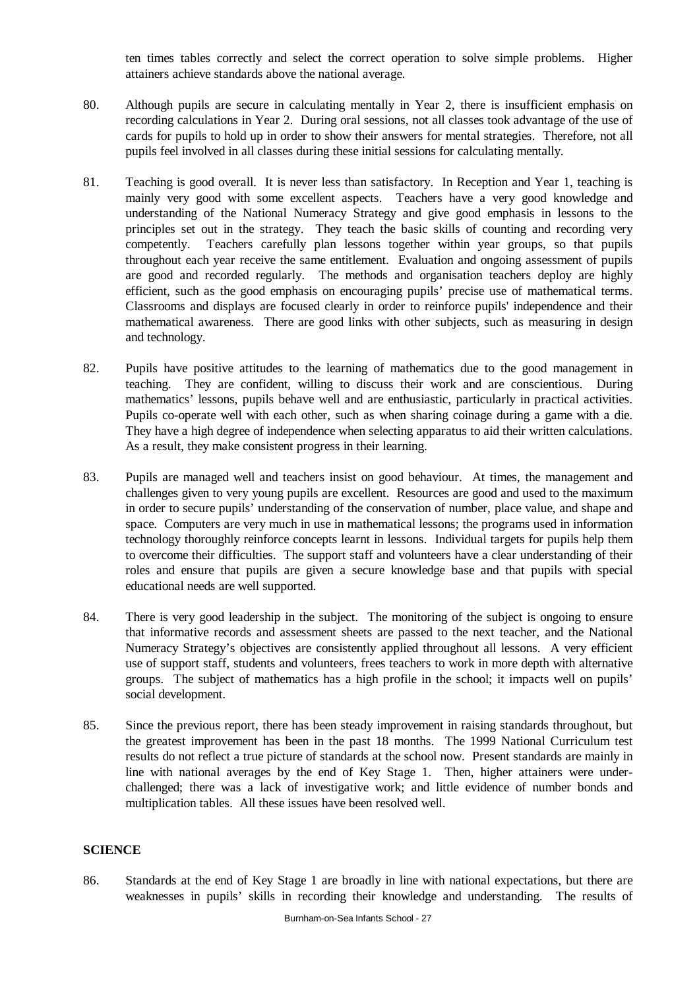ten times tables correctly and select the correct operation to solve simple problems. Higher attainers achieve standards above the national average.

- 80. Although pupils are secure in calculating mentally in Year 2, there is insufficient emphasis on recording calculations in Year 2. During oral sessions, not all classes took advantage of the use of cards for pupils to hold up in order to show their answers for mental strategies. Therefore, not all pupils feel involved in all classes during these initial sessions for calculating mentally.
- 81. Teaching is good overall. It is never less than satisfactory. In Reception and Year 1, teaching is mainly very good with some excellent aspects. Teachers have a very good knowledge and understanding of the National Numeracy Strategy and give good emphasis in lessons to the principles set out in the strategy. They teach the basic skills of counting and recording very competently. Teachers carefully plan lessons together within year groups, so that pupils throughout each year receive the same entitlement. Evaluation and ongoing assessment of pupils are good and recorded regularly. The methods and organisation teachers deploy are highly efficient, such as the good emphasis on encouraging pupils' precise use of mathematical terms. Classrooms and displays are focused clearly in order to reinforce pupils' independence and their mathematical awareness. There are good links with other subjects, such as measuring in design and technology.
- 82. Pupils have positive attitudes to the learning of mathematics due to the good management in teaching. They are confident, willing to discuss their work and are conscientious. During mathematics' lessons, pupils behave well and are enthusiastic, particularly in practical activities. Pupils co-operate well with each other, such as when sharing coinage during a game with a die. They have a high degree of independence when selecting apparatus to aid their written calculations. As a result, they make consistent progress in their learning.
- 83. Pupils are managed well and teachers insist on good behaviour. At times, the management and challenges given to very young pupils are excellent. Resources are good and used to the maximum in order to secure pupils' understanding of the conservation of number, place value, and shape and space. Computers are very much in use in mathematical lessons; the programs used in information technology thoroughly reinforce concepts learnt in lessons. Individual targets for pupils help them to overcome their difficulties. The support staff and volunteers have a clear understanding of their roles and ensure that pupils are given a secure knowledge base and that pupils with special educational needs are well supported.
- 84. There is very good leadership in the subject. The monitoring of the subject is ongoing to ensure that informative records and assessment sheets are passed to the next teacher, and the National Numeracy Strategy's objectives are consistently applied throughout all lessons. A very efficient use of support staff, students and volunteers, frees teachers to work in more depth with alternative groups. The subject of mathematics has a high profile in the school; it impacts well on pupils' social development.
- 85. Since the previous report, there has been steady improvement in raising standards throughout, but the greatest improvement has been in the past 18 months. The 1999 National Curriculum test results do not reflect a true picture of standards at the school now. Present standards are mainly in line with national averages by the end of Key Stage 1. Then, higher attainers were underchallenged; there was a lack of investigative work; and little evidence of number bonds and multiplication tables. All these issues have been resolved well.

# **SCIENCE**

86. Standards at the end of Key Stage 1 are broadly in line with national expectations, but there are weaknesses in pupils' skills in recording their knowledge and understanding. The results of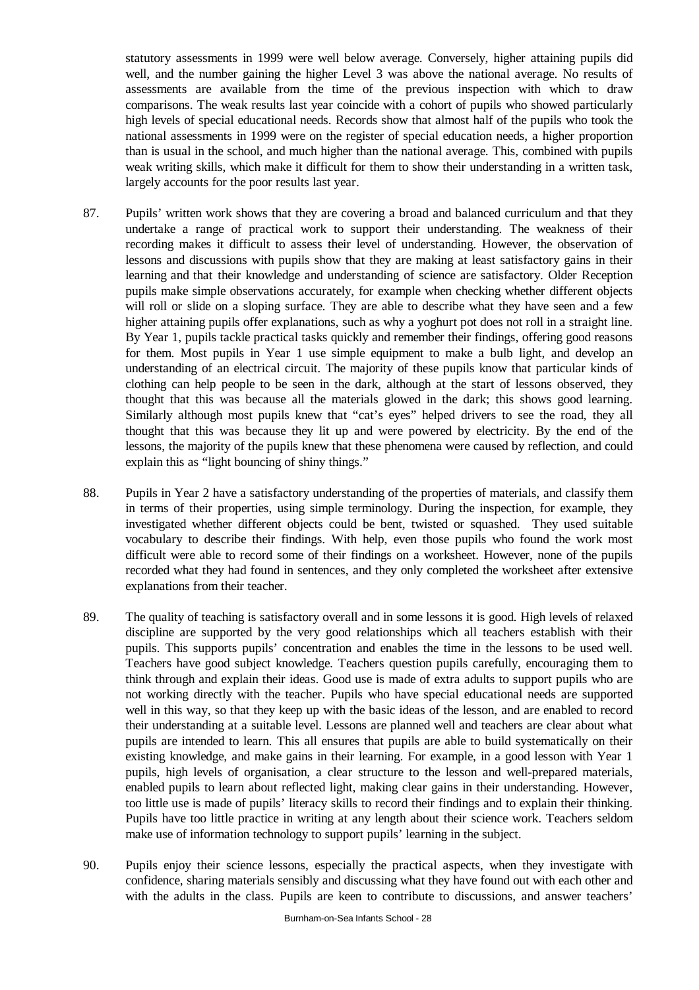statutory assessments in 1999 were well below average. Conversely, higher attaining pupils did well, and the number gaining the higher Level 3 was above the national average. No results of assessments are available from the time of the previous inspection with which to draw comparisons. The weak results last year coincide with a cohort of pupils who showed particularly high levels of special educational needs. Records show that almost half of the pupils who took the national assessments in 1999 were on the register of special education needs, a higher proportion than is usual in the school, and much higher than the national average. This, combined with pupils weak writing skills, which make it difficult for them to show their understanding in a written task, largely accounts for the poor results last year.

- 87. Pupils' written work shows that they are covering a broad and balanced curriculum and that they undertake a range of practical work to support their understanding. The weakness of their recording makes it difficult to assess their level of understanding. However, the observation of lessons and discussions with pupils show that they are making at least satisfactory gains in their learning and that their knowledge and understanding of science are satisfactory. Older Reception pupils make simple observations accurately, for example when checking whether different objects will roll or slide on a sloping surface. They are able to describe what they have seen and a few higher attaining pupils offer explanations, such as why a yoghurt pot does not roll in a straight line. By Year 1, pupils tackle practical tasks quickly and remember their findings, offering good reasons for them. Most pupils in Year 1 use simple equipment to make a bulb light, and develop an understanding of an electrical circuit. The majority of these pupils know that particular kinds of clothing can help people to be seen in the dark, although at the start of lessons observed, they thought that this was because all the materials glowed in the dark; this shows good learning. Similarly although most pupils knew that "cat's eyes" helped drivers to see the road, they all thought that this was because they lit up and were powered by electricity. By the end of the lessons, the majority of the pupils knew that these phenomena were caused by reflection, and could explain this as "light bouncing of shiny things."
- 88. Pupils in Year 2 have a satisfactory understanding of the properties of materials, and classify them in terms of their properties, using simple terminology. During the inspection, for example, they investigated whether different objects could be bent, twisted or squashed. They used suitable vocabulary to describe their findings. With help, even those pupils who found the work most difficult were able to record some of their findings on a worksheet. However, none of the pupils recorded what they had found in sentences, and they only completed the worksheet after extensive explanations from their teacher.
- 89. The quality of teaching is satisfactory overall and in some lessons it is good. High levels of relaxed discipline are supported by the very good relationships which all teachers establish with their pupils. This supports pupils' concentration and enables the time in the lessons to be used well. Teachers have good subject knowledge. Teachers question pupils carefully, encouraging them to think through and explain their ideas. Good use is made of extra adults to support pupils who are not working directly with the teacher. Pupils who have special educational needs are supported well in this way, so that they keep up with the basic ideas of the lesson, and are enabled to record their understanding at a suitable level. Lessons are planned well and teachers are clear about what pupils are intended to learn. This all ensures that pupils are able to build systematically on their existing knowledge, and make gains in their learning. For example, in a good lesson with Year 1 pupils, high levels of organisation, a clear structure to the lesson and well-prepared materials, enabled pupils to learn about reflected light, making clear gains in their understanding. However, too little use is made of pupils' literacy skills to record their findings and to explain their thinking. Pupils have too little practice in writing at any length about their science work. Teachers seldom make use of information technology to support pupils' learning in the subject.
- 90. Pupils enjoy their science lessons, especially the practical aspects, when they investigate with confidence, sharing materials sensibly and discussing what they have found out with each other and with the adults in the class. Pupils are keen to contribute to discussions, and answer teachers'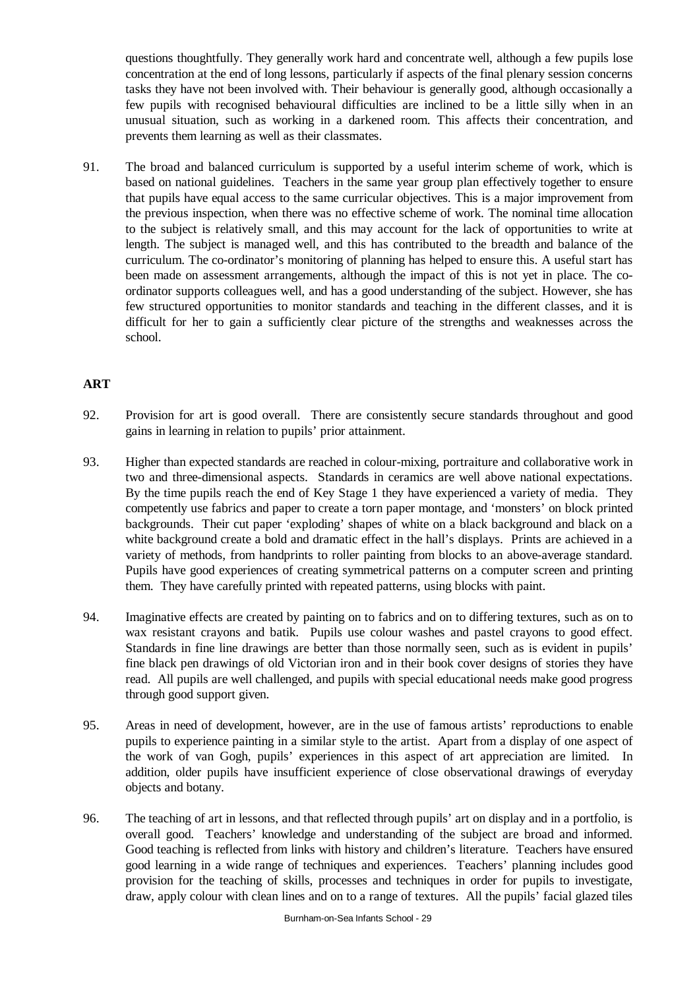questions thoughtfully. They generally work hard and concentrate well, although a few pupils lose concentration at the end of long lessons, particularly if aspects of the final plenary session concerns tasks they have not been involved with. Their behaviour is generally good, although occasionally a few pupils with recognised behavioural difficulties are inclined to be a little silly when in an unusual situation, such as working in a darkened room. This affects their concentration, and prevents them learning as well as their classmates.

91. The broad and balanced curriculum is supported by a useful interim scheme of work, which is based on national guidelines. Teachers in the same year group plan effectively together to ensure that pupils have equal access to the same curricular objectives. This is a major improvement from the previous inspection, when there was no effective scheme of work. The nominal time allocation to the subject is relatively small, and this may account for the lack of opportunities to write at length. The subject is managed well, and this has contributed to the breadth and balance of the curriculum. The co-ordinator's monitoring of planning has helped to ensure this. A useful start has been made on assessment arrangements, although the impact of this is not yet in place. The coordinator supports colleagues well, and has a good understanding of the subject. However, she has few structured opportunities to monitor standards and teaching in the different classes, and it is difficult for her to gain a sufficiently clear picture of the strengths and weaknesses across the school.

# **ART**

- 92. Provision for art is good overall. There are consistently secure standards throughout and good gains in learning in relation to pupils' prior attainment.
- 93. Higher than expected standards are reached in colour-mixing, portraiture and collaborative work in two and three-dimensional aspects. Standards in ceramics are well above national expectations. By the time pupils reach the end of Key Stage 1 they have experienced a variety of media. They competently use fabrics and paper to create a torn paper montage, and 'monsters' on block printed backgrounds. Their cut paper 'exploding' shapes of white on a black background and black on a white background create a bold and dramatic effect in the hall's displays. Prints are achieved in a variety of methods, from handprints to roller painting from blocks to an above-average standard. Pupils have good experiences of creating symmetrical patterns on a computer screen and printing them. They have carefully printed with repeated patterns, using blocks with paint.
- 94. Imaginative effects are created by painting on to fabrics and on to differing textures, such as on to wax resistant crayons and batik. Pupils use colour washes and pastel crayons to good effect. Standards in fine line drawings are better than those normally seen, such as is evident in pupils' fine black pen drawings of old Victorian iron and in their book cover designs of stories they have read. All pupils are well challenged, and pupils with special educational needs make good progress through good support given.
- 95. Areas in need of development, however, are in the use of famous artists' reproductions to enable pupils to experience painting in a similar style to the artist. Apart from a display of one aspect of the work of van Gogh, pupils' experiences in this aspect of art appreciation are limited. In addition, older pupils have insufficient experience of close observational drawings of everyday objects and botany.
- 96. The teaching of art in lessons, and that reflected through pupils' art on display and in a portfolio, is overall good. Teachers' knowledge and understanding of the subject are broad and informed. Good teaching is reflected from links with history and children's literature. Teachers have ensured good learning in a wide range of techniques and experiences. Teachers' planning includes good provision for the teaching of skills, processes and techniques in order for pupils to investigate, draw, apply colour with clean lines and on to a range of textures. All the pupils' facial glazed tiles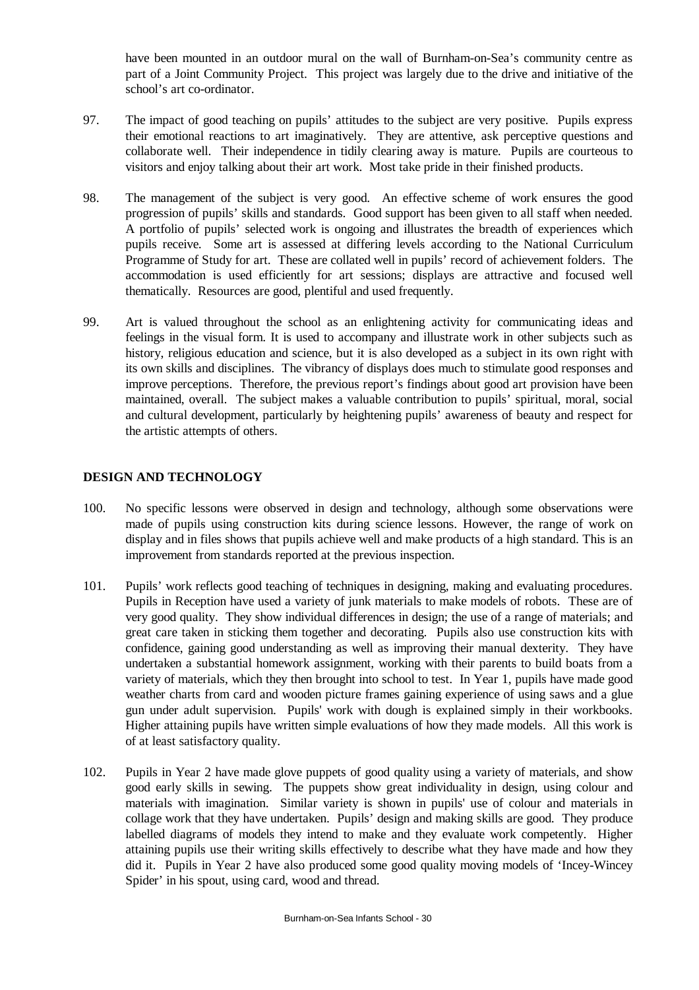have been mounted in an outdoor mural on the wall of Burnham-on-Sea's community centre as part of a Joint Community Project. This project was largely due to the drive and initiative of the school's art co-ordinator.

- 97. The impact of good teaching on pupils' attitudes to the subject are very positive. Pupils express their emotional reactions to art imaginatively. They are attentive, ask perceptive questions and collaborate well. Their independence in tidily clearing away is mature. Pupils are courteous to visitors and enjoy talking about their art work. Most take pride in their finished products.
- 98. The management of the subject is very good. An effective scheme of work ensures the good progression of pupils' skills and standards. Good support has been given to all staff when needed. A portfolio of pupils' selected work is ongoing and illustrates the breadth of experiences which pupils receive. Some art is assessed at differing levels according to the National Curriculum Programme of Study for art. These are collated well in pupils' record of achievement folders. The accommodation is used efficiently for art sessions; displays are attractive and focused well thematically. Resources are good, plentiful and used frequently.
- 99. Art is valued throughout the school as an enlightening activity for communicating ideas and feelings in the visual form. It is used to accompany and illustrate work in other subjects such as history, religious education and science, but it is also developed as a subject in its own right with its own skills and disciplines. The vibrancy of displays does much to stimulate good responses and improve perceptions. Therefore, the previous report's findings about good art provision have been maintained, overall. The subject makes a valuable contribution to pupils' spiritual, moral, social and cultural development, particularly by heightening pupils' awareness of beauty and respect for the artistic attempts of others.

## **DESIGN AND TECHNOLOGY**

- 100. No specific lessons were observed in design and technology, although some observations were made of pupils using construction kits during science lessons. However, the range of work on display and in files shows that pupils achieve well and make products of a high standard. This is an improvement from standards reported at the previous inspection.
- 101. Pupils' work reflects good teaching of techniques in designing, making and evaluating procedures. Pupils in Reception have used a variety of junk materials to make models of robots. These are of very good quality. They show individual differences in design; the use of a range of materials; and great care taken in sticking them together and decorating. Pupils also use construction kits with confidence, gaining good understanding as well as improving their manual dexterity. They have undertaken a substantial homework assignment, working with their parents to build boats from a variety of materials, which they then brought into school to test. In Year 1, pupils have made good weather charts from card and wooden picture frames gaining experience of using saws and a glue gun under adult supervision. Pupils' work with dough is explained simply in their workbooks. Higher attaining pupils have written simple evaluations of how they made models. All this work is of at least satisfactory quality.
- 102. Pupils in Year 2 have made glove puppets of good quality using a variety of materials, and show good early skills in sewing. The puppets show great individuality in design, using colour and materials with imagination. Similar variety is shown in pupils' use of colour and materials in collage work that they have undertaken. Pupils' design and making skills are good. They produce labelled diagrams of models they intend to make and they evaluate work competently. Higher attaining pupils use their writing skills effectively to describe what they have made and how they did it. Pupils in Year 2 have also produced some good quality moving models of 'Incey-Wincey Spider' in his spout, using card, wood and thread.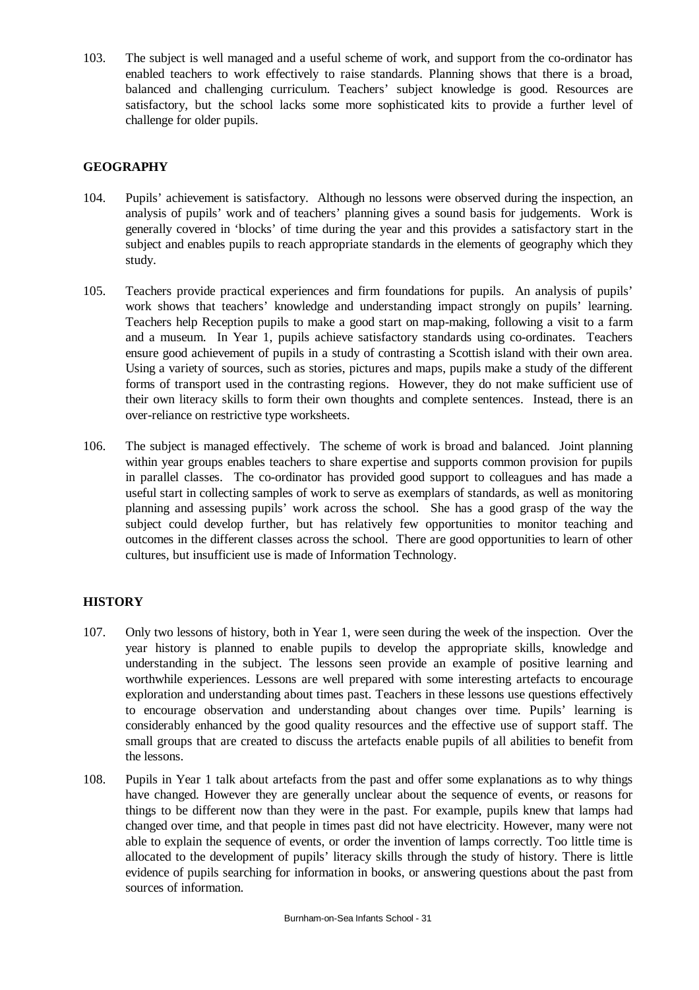103. The subject is well managed and a useful scheme of work, and support from the co-ordinator has enabled teachers to work effectively to raise standards. Planning shows that there is a broad, balanced and challenging curriculum. Teachers' subject knowledge is good. Resources are satisfactory, but the school lacks some more sophisticated kits to provide a further level of challenge for older pupils.

# **GEOGRAPHY**

- 104. Pupils' achievement is satisfactory. Although no lessons were observed during the inspection, an analysis of pupils' work and of teachers' planning gives a sound basis for judgements. Work is generally covered in 'blocks' of time during the year and this provides a satisfactory start in the subject and enables pupils to reach appropriate standards in the elements of geography which they study.
- 105. Teachers provide practical experiences and firm foundations for pupils. An analysis of pupils' work shows that teachers' knowledge and understanding impact strongly on pupils' learning. Teachers help Reception pupils to make a good start on map-making, following a visit to a farm and a museum. In Year 1, pupils achieve satisfactory standards using co-ordinates. Teachers ensure good achievement of pupils in a study of contrasting a Scottish island with their own area. Using a variety of sources, such as stories, pictures and maps, pupils make a study of the different forms of transport used in the contrasting regions. However, they do not make sufficient use of their own literacy skills to form their own thoughts and complete sentences. Instead, there is an over-reliance on restrictive type worksheets.
- 106. The subject is managed effectively. The scheme of work is broad and balanced. Joint planning within year groups enables teachers to share expertise and supports common provision for pupils in parallel classes. The co-ordinator has provided good support to colleagues and has made a useful start in collecting samples of work to serve as exemplars of standards, as well as monitoring planning and assessing pupils' work across the school. She has a good grasp of the way the subject could develop further, but has relatively few opportunities to monitor teaching and outcomes in the different classes across the school. There are good opportunities to learn of other cultures, but insufficient use is made of Information Technology.

# **HISTORY**

- 107. Only two lessons of history, both in Year 1, were seen during the week of the inspection. Over the year history is planned to enable pupils to develop the appropriate skills, knowledge and understanding in the subject. The lessons seen provide an example of positive learning and worthwhile experiences. Lessons are well prepared with some interesting artefacts to encourage exploration and understanding about times past. Teachers in these lessons use questions effectively to encourage observation and understanding about changes over time. Pupils' learning is considerably enhanced by the good quality resources and the effective use of support staff. The small groups that are created to discuss the artefacts enable pupils of all abilities to benefit from the lessons.
- 108. Pupils in Year 1 talk about artefacts from the past and offer some explanations as to why things have changed. However they are generally unclear about the sequence of events, or reasons for things to be different now than they were in the past. For example, pupils knew that lamps had changed over time, and that people in times past did not have electricity. However, many were not able to explain the sequence of events, or order the invention of lamps correctly. Too little time is allocated to the development of pupils' literacy skills through the study of history. There is little evidence of pupils searching for information in books, or answering questions about the past from sources of information.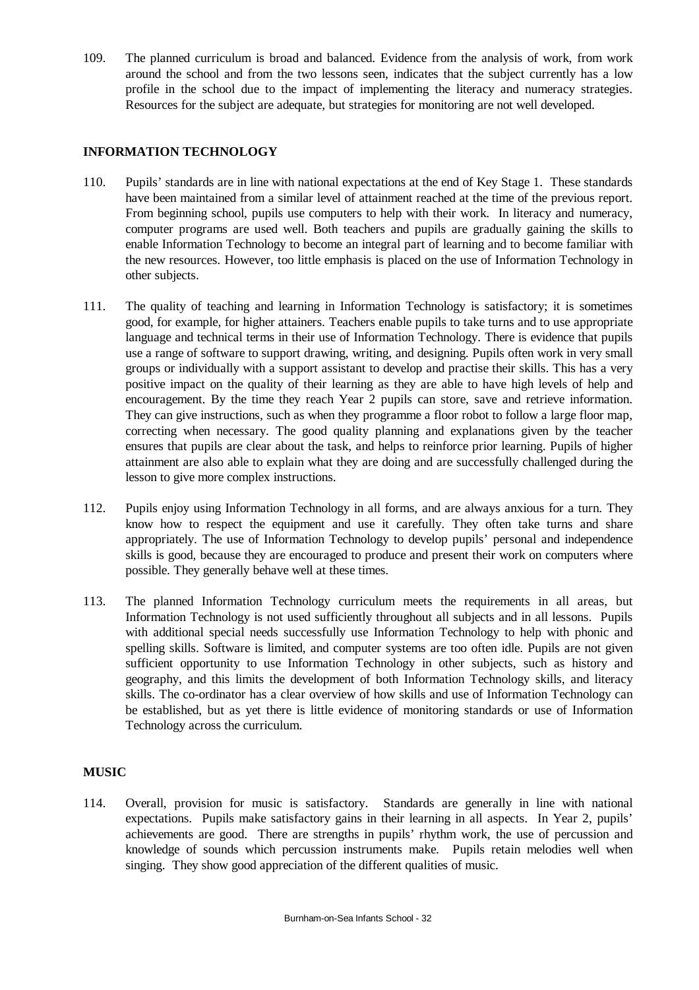109. The planned curriculum is broad and balanced. Evidence from the analysis of work, from work around the school and from the two lessons seen, indicates that the subject currently has a low profile in the school due to the impact of implementing the literacy and numeracy strategies. Resources for the subject are adequate, but strategies for monitoring are not well developed.

## **INFORMATION TECHNOLOGY**

- 110. Pupils' standards are in line with national expectations at the end of Key Stage 1. These standards have been maintained from a similar level of attainment reached at the time of the previous report. From beginning school, pupils use computers to help with their work. In literacy and numeracy, computer programs are used well. Both teachers and pupils are gradually gaining the skills to enable Information Technology to become an integral part of learning and to become familiar with the new resources. However, too little emphasis is placed on the use of Information Technology in other subjects.
- 111. The quality of teaching and learning in Information Technology is satisfactory; it is sometimes good, for example, for higher attainers. Teachers enable pupils to take turns and to use appropriate language and technical terms in their use of Information Technology. There is evidence that pupils use a range of software to support drawing, writing, and designing. Pupils often work in very small groups or individually with a support assistant to develop and practise their skills. This has a very positive impact on the quality of their learning as they are able to have high levels of help and encouragement. By the time they reach Year 2 pupils can store, save and retrieve information. They can give instructions, such as when they programme a floor robot to follow a large floor map, correcting when necessary. The good quality planning and explanations given by the teacher ensures that pupils are clear about the task, and helps to reinforce prior learning. Pupils of higher attainment are also able to explain what they are doing and are successfully challenged during the lesson to give more complex instructions.
- 112. Pupils enjoy using Information Technology in all forms, and are always anxious for a turn. They know how to respect the equipment and use it carefully. They often take turns and share appropriately. The use of Information Technology to develop pupils' personal and independence skills is good, because they are encouraged to produce and present their work on computers where possible. They generally behave well at these times.
- 113. The planned Information Technology curriculum meets the requirements in all areas, but Information Technology is not used sufficiently throughout all subjects and in all lessons. Pupils with additional special needs successfully use Information Technology to help with phonic and spelling skills. Software is limited, and computer systems are too often idle. Pupils are not given sufficient opportunity to use Information Technology in other subjects, such as history and geography, and this limits the development of both Information Technology skills, and literacy skills. The co-ordinator has a clear overview of how skills and use of Information Technology can be established, but as yet there is little evidence of monitoring standards or use of Information Technology across the curriculum.

## **MUSIC**

114. Overall, provision for music is satisfactory. Standards are generally in line with national expectations. Pupils make satisfactory gains in their learning in all aspects. In Year 2, pupils' achievements are good. There are strengths in pupils' rhythm work, the use of percussion and knowledge of sounds which percussion instruments make. Pupils retain melodies well when singing. They show good appreciation of the different qualities of music.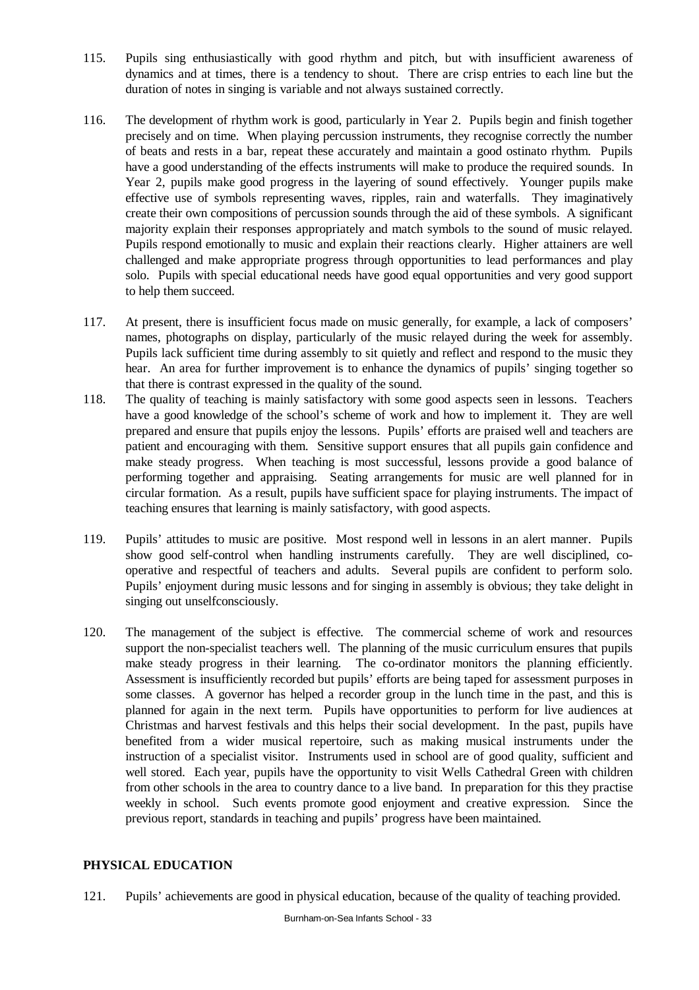- 115. Pupils sing enthusiastically with good rhythm and pitch, but with insufficient awareness of dynamics and at times, there is a tendency to shout. There are crisp entries to each line but the duration of notes in singing is variable and not always sustained correctly.
- 116. The development of rhythm work is good, particularly in Year 2. Pupils begin and finish together precisely and on time. When playing percussion instruments, they recognise correctly the number of beats and rests in a bar, repeat these accurately and maintain a good ostinato rhythm. Pupils have a good understanding of the effects instruments will make to produce the required sounds. In Year 2, pupils make good progress in the layering of sound effectively. Younger pupils make effective use of symbols representing waves, ripples, rain and waterfalls. They imaginatively create their own compositions of percussion sounds through the aid of these symbols. A significant majority explain their responses appropriately and match symbols to the sound of music relayed. Pupils respond emotionally to music and explain their reactions clearly. Higher attainers are well challenged and make appropriate progress through opportunities to lead performances and play solo. Pupils with special educational needs have good equal opportunities and very good support to help them succeed.
- 117. At present, there is insufficient focus made on music generally, for example, a lack of composers' names, photographs on display, particularly of the music relayed during the week for assembly. Pupils lack sufficient time during assembly to sit quietly and reflect and respond to the music they hear. An area for further improvement is to enhance the dynamics of pupils' singing together so that there is contrast expressed in the quality of the sound.
- 118. The quality of teaching is mainly satisfactory with some good aspects seen in lessons. Teachers have a good knowledge of the school's scheme of work and how to implement it. They are well prepared and ensure that pupils enjoy the lessons. Pupils' efforts are praised well and teachers are patient and encouraging with them. Sensitive support ensures that all pupils gain confidence and make steady progress. When teaching is most successful, lessons provide a good balance of performing together and appraising. Seating arrangements for music are well planned for in circular formation. As a result, pupils have sufficient space for playing instruments. The impact of teaching ensures that learning is mainly satisfactory, with good aspects.
- 119. Pupils' attitudes to music are positive. Most respond well in lessons in an alert manner. Pupils show good self-control when handling instruments carefully. They are well disciplined, cooperative and respectful of teachers and adults. Several pupils are confident to perform solo. Pupils' enjoyment during music lessons and for singing in assembly is obvious; they take delight in singing out unselfconsciously.
- 120. The management of the subject is effective. The commercial scheme of work and resources support the non-specialist teachers well. The planning of the music curriculum ensures that pupils make steady progress in their learning. The co-ordinator monitors the planning efficiently. Assessment is insufficiently recorded but pupils' efforts are being taped for assessment purposes in some classes. A governor has helped a recorder group in the lunch time in the past, and this is planned for again in the next term. Pupils have opportunities to perform for live audiences at Christmas and harvest festivals and this helps their social development. In the past, pupils have benefited from a wider musical repertoire, such as making musical instruments under the instruction of a specialist visitor. Instruments used in school are of good quality, sufficient and well stored. Each year, pupils have the opportunity to visit Wells Cathedral Green with children from other schools in the area to country dance to a live band. In preparation for this they practise weekly in school. Such events promote good enjoyment and creative expression. Since the previous report, standards in teaching and pupils' progress have been maintained.

## **PHYSICAL EDUCATION**

121. Pupils' achievements are good in physical education, because of the quality of teaching provided.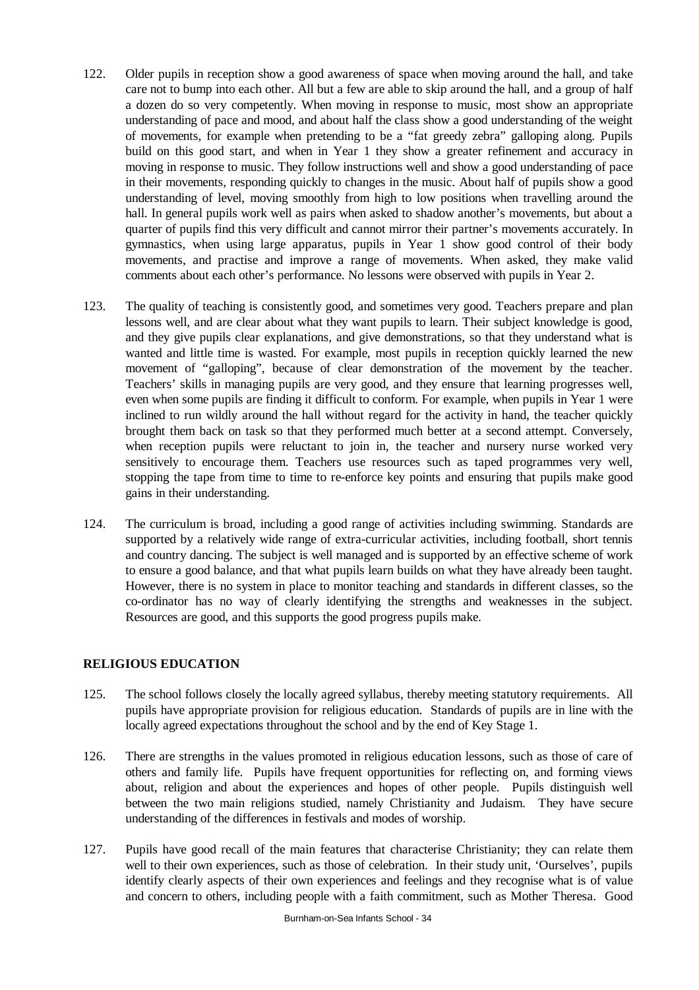- 122. Older pupils in reception show a good awareness of space when moving around the hall, and take care not to bump into each other. All but a few are able to skip around the hall, and a group of half a dozen do so very competently. When moving in response to music, most show an appropriate understanding of pace and mood, and about half the class show a good understanding of the weight of movements, for example when pretending to be a "fat greedy zebra" galloping along. Pupils build on this good start, and when in Year 1 they show a greater refinement and accuracy in moving in response to music. They follow instructions well and show a good understanding of pace in their movements, responding quickly to changes in the music. About half of pupils show a good understanding of level, moving smoothly from high to low positions when travelling around the hall. In general pupils work well as pairs when asked to shadow another's movements, but about a quarter of pupils find this very difficult and cannot mirror their partner's movements accurately. In gymnastics, when using large apparatus, pupils in Year 1 show good control of their body movements, and practise and improve a range of movements. When asked, they make valid comments about each other's performance. No lessons were observed with pupils in Year 2.
- 123. The quality of teaching is consistently good, and sometimes very good. Teachers prepare and plan lessons well, and are clear about what they want pupils to learn. Their subject knowledge is good, and they give pupils clear explanations, and give demonstrations, so that they understand what is wanted and little time is wasted. For example, most pupils in reception quickly learned the new movement of "galloping", because of clear demonstration of the movement by the teacher. Teachers' skills in managing pupils are very good, and they ensure that learning progresses well, even when some pupils are finding it difficult to conform. For example, when pupils in Year 1 were inclined to run wildly around the hall without regard for the activity in hand, the teacher quickly brought them back on task so that they performed much better at a second attempt. Conversely, when reception pupils were reluctant to join in, the teacher and nursery nurse worked very sensitively to encourage them. Teachers use resources such as taped programmes very well, stopping the tape from time to time to re-enforce key points and ensuring that pupils make good gains in their understanding.
- 124. The curriculum is broad, including a good range of activities including swimming. Standards are supported by a relatively wide range of extra-curricular activities, including football, short tennis and country dancing. The subject is well managed and is supported by an effective scheme of work to ensure a good balance, and that what pupils learn builds on what they have already been taught. However, there is no system in place to monitor teaching and standards in different classes, so the co-ordinator has no way of clearly identifying the strengths and weaknesses in the subject. Resources are good, and this supports the good progress pupils make.

## **RELIGIOUS EDUCATION**

- 125. The school follows closely the locally agreed syllabus, thereby meeting statutory requirements. All pupils have appropriate provision for religious education. Standards of pupils are in line with the locally agreed expectations throughout the school and by the end of Key Stage 1.
- 126. There are strengths in the values promoted in religious education lessons, such as those of care of others and family life. Pupils have frequent opportunities for reflecting on, and forming views about, religion and about the experiences and hopes of other people. Pupils distinguish well between the two main religions studied, namely Christianity and Judaism. They have secure understanding of the differences in festivals and modes of worship.
- 127. Pupils have good recall of the main features that characterise Christianity; they can relate them well to their own experiences, such as those of celebration. In their study unit, 'Ourselves', pupils identify clearly aspects of their own experiences and feelings and they recognise what is of value and concern to others, including people with a faith commitment, such as Mother Theresa. Good